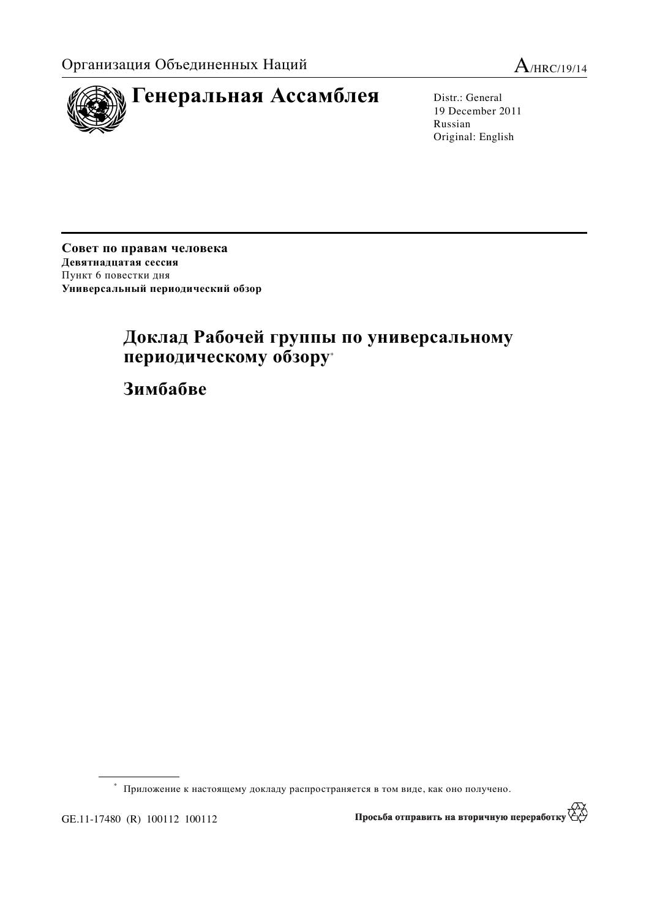



19 December 2011 Russian Original: English

Совет по правам человека Девятнадцатая сессия Пункт 6 повестки дня Универсальный периодический обзор

# Доклад Рабочей группы по универсальному периодическому обзору\*

**Зимбабве** 

 $*$  Приложение к настоящему докладу распространяется в том виде, как оно получено.

GE.11-17480 (R) 100112 100112

龙☆ Просьба отправить на вторичную переработку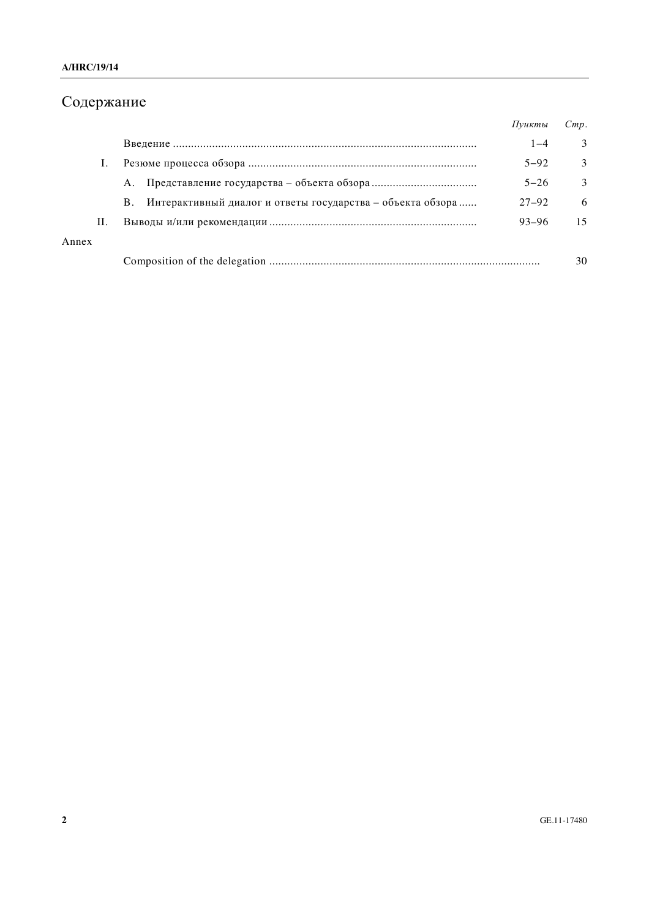# Содержание

|       |                                                                  | Пункты    | Cmp. |
|-------|------------------------------------------------------------------|-----------|------|
|       |                                                                  | $1 - 4$   | 3    |
|       |                                                                  | $5 - 92$  | 3    |
|       | А.                                                               | $5 - 26$  | 3    |
|       | Интерактивный диалог и ответы государства - объекта обзора<br>В. | $27 - 92$ | 6    |
| Н.    |                                                                  | $93 - 96$ | 15   |
| Annex |                                                                  |           |      |
|       |                                                                  |           | 30   |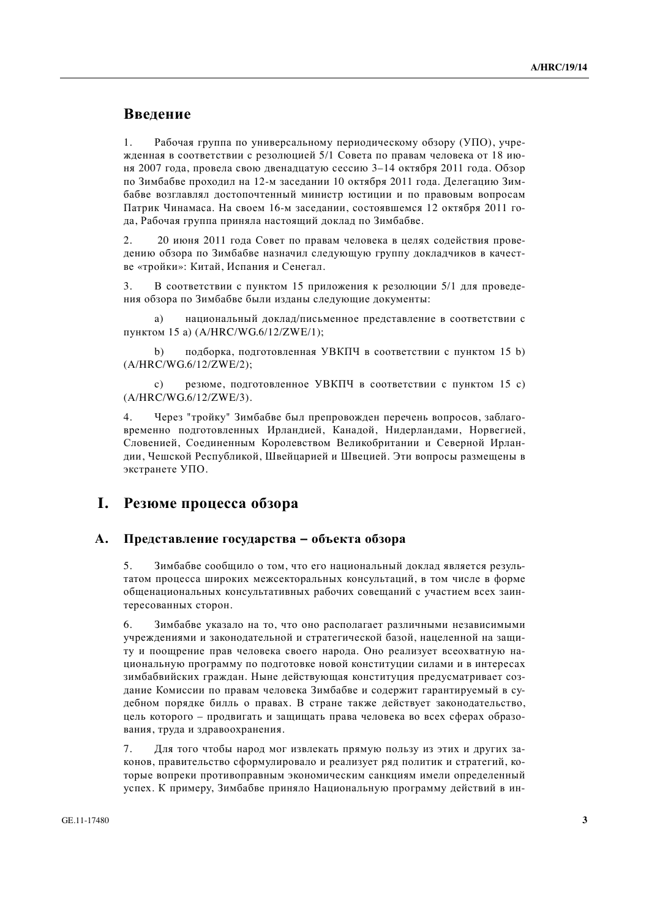## **Введение**

1. Рабочая группа по универсальному периодическому обзору (УПО), учрежденная в соответствии с резолюцией 5/1 Совета по правам человека от 18 ию- $H\alpha$  2007 гола, провела свою двеналнатую сессию 3–14 октября 2011 года. Обзор по Зимбабве проходил на 12-м заседании 10 октября 2011 года. Делегацию Зимбабве возглавлял достопочтенный министр юстиции и по правовым вопросам Патрик Чинамаса. На своем 16-м заседании, состоявшемся 12 октября 2011 года, Рабочая группа приняла настоящий доклад по Зимбабве.

2. 20 июня 2011 года Совет по правам человека в целях содействия проведению обзора по Зимбабве назначил следующую группу докладчиков в качестве «тройки»: Китай, Испания и Сенегал.

3. В соответствии с пунктом 15 приложения к резолюции 5/1 для проведения обзора по Зимбабве были изданы следующие документы:

а) национальный доклад/письменное представление в соответствии с пунктом 15 а) (A/HRC/WG.6/12/ZWE/1);

b) подборка, подготовленная УВКПЧ в соответствии с пунктом 15 b) (A/HRC/WG.6/12/ZWE/2);

c) резюме, подготовленное УВКПЧ в соответствии с пунктом 15 с) (A/HRC/WG.6/12/ZWE/3).

4. Через "тройку" Зимбабве был препровожден перечень вопросов, заблаговременно подготовленных Ирландией, Канадой, Нидерландами, Норвегией, Словенией, Соединенным Королевством Великобритании и Северной Ирландии, Чешской Республикой, Швейцарией и Швецией. Эти вопросы размещены в экстранете УПО.

### **І.** Резюме процесса обзора

#### **А. Представление государства – объекта обзора**

5. Зимбабве сообщило о том, что его национальный доклад является результатом процесса широких межсекторальных консультаций, в том числе в форме общенациональных консультативных рабочих совещаний с участием всех заинтересованных сторон.

6. Зимбабве указало на то, что оно располагает различными независимыми учреждениями и законодательной и стратегической базой, нацеленной на защиту и поощрение прав человека своего народа. Оно реализует всеохватную национальную программу по полготовке новой конституции силами и в интересах зимбабвийских граждан. Ныне действующая конституция предусматривает создание Комиссии по правам человека Зимбабве и содержит гарантируемый в судебном порядке билль о правах. В стране также действует законодательство, цель которого – продвигать и защищать права человека во всех сферах образования, труда и здравоохранения.

7. Для того чтобы народ мог извлекать прямую пользу из этих и других законов, правительство сформулировало и реализует ряд политик и стратегий, которые вопреки противоправным экономическим санкциям имели определенный үспех. К примеру, Зимбабве приняло Национальную программу действий в ин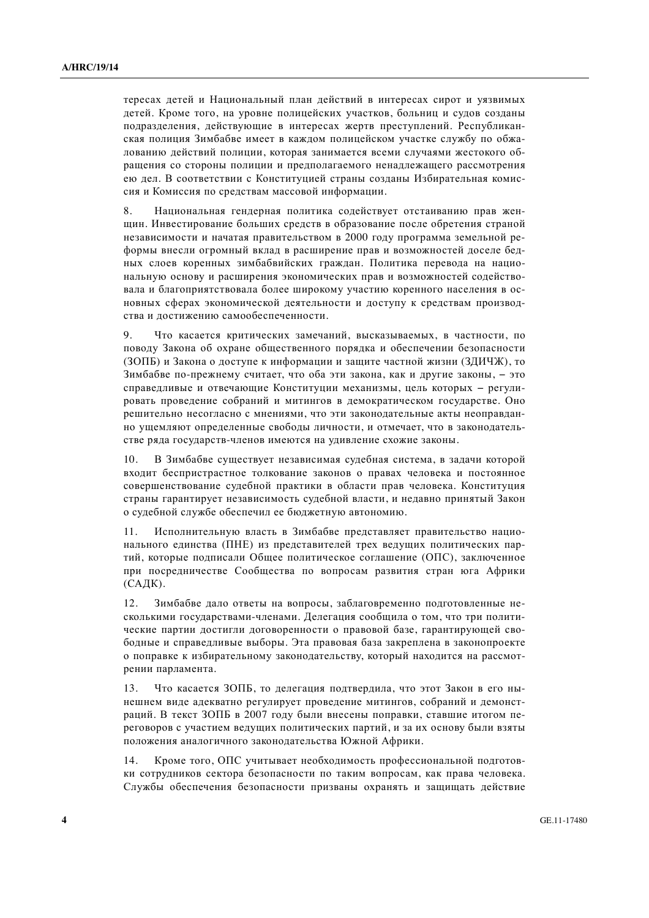тересах детей и Национальный план действий в интересах сирот и уязвимых детей. Кроме того, на уровне полицейских участков, больниц и судов созданы подразделения, действующие в интересах жертв преступлений. Республиканская полиция Зимбабве имеет в каждом полицейском участке службу по обжалованию действий полиции, которая занимается всеми случаями жестокого обрашения со стороны полиции и прелполагаемого неналлежашего рассмотрения ею дел. В соответствии с Конституцией страны созданы Избирательная комиссия и Комиссия по средствам массовой информации.

8. Национальная гендерная политика содействует отстаиванию прав женщин. Инвестирование больших срелств в образование после обретения страной независимости и начатая правительством в 2000 году программа земельной реформы внесли огромный вклад в расширение прав и возможностей доселе бедных слоев коренных зимбабвийских граждан. Политика перевода на национальную основу и расширения экономических прав и возможностей содействовала и благоприятствовала более широкому участию коренного населения в основных сферах экономической деятельности и доступу к средствам производства и лостижению самообеспеченности.

9. Что касается критических замечаний, высказываемых, в частности, по поводу Закона об охране общественного порядка и обеспечении безопасности (ЗОПБ) и Закона о доступе к информации и защите частной жизни (ЗДИЧЖ), то 3имбабве по-прежнему считает, что оба эти закона, как и другие законы, - это справедливые и отвечающие Конституции механизмы, цель которых – регулировать провеление собраний и митингов в лемократическом госуларстве. Оно решительно несогласно с мнениями, что эти законодательные акты неоправданно ущемляют определенные свободы личности, и отмечает, что в законодательстве ряда государств-членов имеются на удивление схожие законы.

10. В Зимбабве существует независимая судебная система, в задачи которой входит беспристрастное толкование законов о правах человека и постоянное совершенствование судебной практики в области прав человека. Конституция страны гарантирует независимость судебной власти, и недавно принятый Закон о судебной службе обеспечил ее бюджетную автономию.

11. Исполнительную власть в Зимбабве представляет правительство национального елинства (ПНЕ) из прелставителей трех велуших политических партий, которые подписали Общее политическое соглашение (ОПС), заключенное при посредничестве Сообщества по вопросам развития стран юга Африки  $(CA\mathcal{I}K).$ 

12. Зимбабве дало ответы на вопросы, заблаговременно подготовленные несколькими государствами-членами. Делегация сообщила о том, что три политические партии достигли договоренности о правовой базе, гарантирующей свободные и справедливые выборы. Эта правовая база закреплена в законопроекте о поправке к избирательному законодательству, который находится на рассмотрении парламента.

13. Что касается ЗОПБ, то делегация подтвердила, что этот Закон в его нынешнем виде адекватно регулирует проведение митингов, собраний и демонстраций. В текст ЗОПБ в 2007 году были внесены поправки, ставшие итогом переговоров с участием ведущих политических партий, и за их основу были взяты положения аналогичного законодательства Южной Африки.

14. Кроме того, ОПС учитывает необходимость профессиональной подготовки сотрудников сектора безопасности по таким вопросам, как права человека. Службы обеспечения безопасности призваны охранять и защищать действие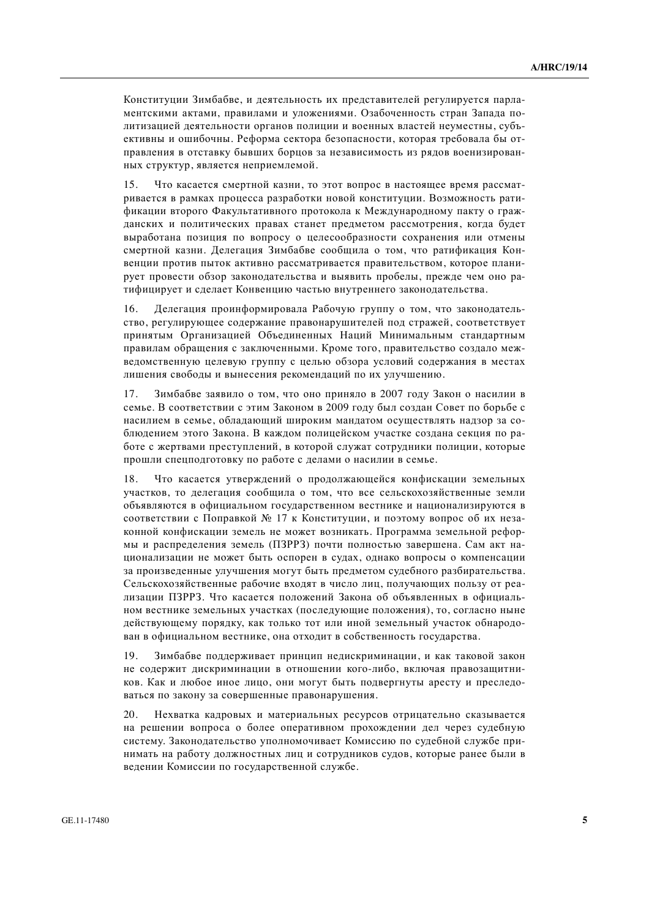Конституции Зимбабве, и деятельность их представителей регулируется парламентскими актами, правилами и уложениями. Озабоченность стран Запада политизацией деятельности органов полиции и военных властей неуместны, субъективны и ошибочны. Реформа сектора безопасности, которая требовала бы отправления в отставку бывших борцов за независимость из рядов военизированных структур, является неприемлемой.

15. Что касается смертной казни, то этот вопрос в настоящее время рассматривается в рамках процесса разработки новой конституции. Возможность ратификации второго Факультативного протокола к Международному пакту о гражданских и политических правах станет предметом рассмотрения, когда будет выработана позиция по вопросу о целесообразности сохранения или отмены смертной казни. Делегация Зимбабве сообщила о том, что ратификация Конвенции против пыток активно рассматривается правительством, которое планирует провести обзор законодательства и выявить пробелы, прежде чем оно ратифицирует и сделает Конвенцию частью внутреннего законодательства.

16. Лелегация проинформировала Рабочую группу о том, что законодательство, регулирующее содержание правонарушителей под стражей, соответствует принятым Организацией Объединенных Наций Минимальным стандартным правилам обращения с заключенными. Кроме того, правительство создало межведомственную целевую группу с целью обзора условий содержания в местах лишения свободы и вынесения рекомендаций по их улучшению.

17. Зимбабве заявило о том, что оно приняло в 2007 году Закон о насилии в семье. В соответствии с этим Законом в 2009 году был создан Совет по борьбе с насилием в семье, обладающий широким мандатом осуществлять надзор за соблюдением этого Закона. В каждом полицейском участке создана секция по работе с жертвами преступлений, в которой служат сотрудники полиции, которые прошли спецподготовку по работе с делами о насилии в семье.

18. Что касается утверждений о продолжающейся конфискации земельных участков, то делегация сообщила о том, что все сельскохозяйственные земли объявляются в официальном государственном вестнике и национализируются в соответствии с Поправкой № 17 к Конституции, и поэтому вопрос об их незаконной конфискации земель не может возникать. Программа земельной реформы и распределения земель (ПЗРРЗ) почти полностью завершена. Сам акт национализации не может быть оспорен в судах, однако вопросы о компенсации за произведенные улучшения могут быть предметом судебного разбирательства. Сельскохозяйственные рабочие входят в число лиц, получающих пользу от реализации ПЗРРЗ. Что касается положений Закона об объявленных в официальном вестнике земельных участках (последующие положения), то, согласно ныне действующему порядку, как только тот или иной земельный участок обнародован в официальном вестнике, она отходит в собственность государства.

19. Зимбабве поддерживает принцип недискриминации, и как таковой закон не содержит дискриминации в отношении кого-либо, включая правозащитников. Как и любое иное лицо, они могут быть подвергнуты аресту и преследоваться по закону за совершенные правонарушения.

20. Нехватка кадровых и материальных ресурсов отрицательно сказывается на решении вопроса о более оперативном прохождении дел через судебную систему. Законодательство уполномочивает Комиссию по судебной службе принимать на работу должностных лиц и сотрудников судов, которые ранее были в ведении Комиссии по государственной службе.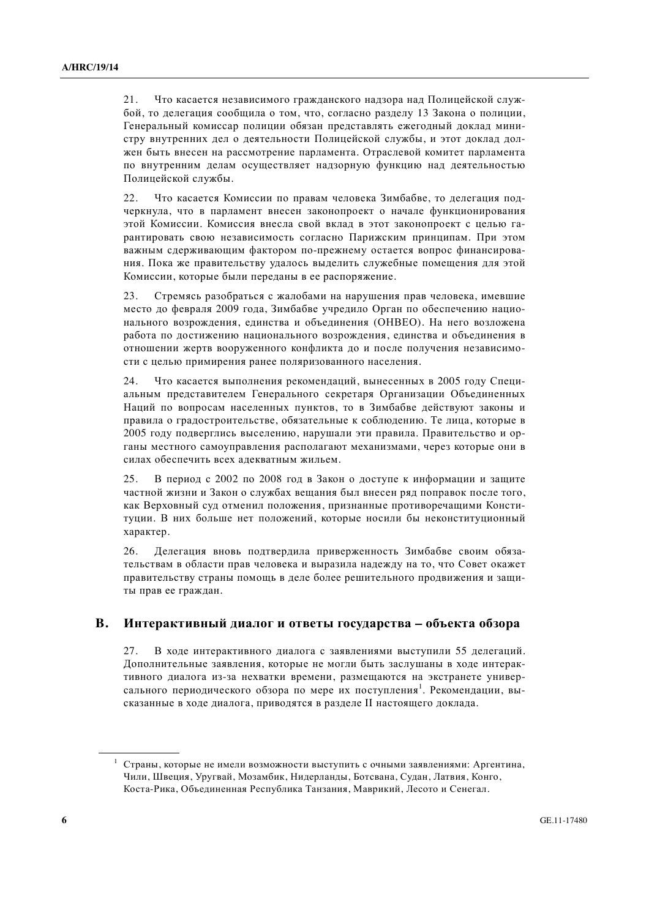21. Что касается независимого гражданского надзора над Полицейской службой, то делегация сообщила о том, что, согласно разделу 13 Закона о полиции, Генеральный комиссар полиции обязан представлять ежегодный доклад министру внутренних дел о деятельности Полицейской службы, и этот доклад должен быть внесен на рассмотрение парламента. Отраслевой комитет парламента по внутренним делам осуществляет надзорную функцию над деятельностью Полицейской службы.

22. Что касается Комиссии по правам человека Зимбабве, то лелегация подчеркнула, что в парламент внесен законопроект о начале функционирования этой Комиссии. Комиссия внесла свой вклад в этот законопроект с целью гарантировать свою независимость согласно Парижским принципам. При этом важным сдерживающим фактором по-прежнему остается вопрос финансирования. Пока же правительству удалось вылелить служебные помешения для этой Комиссии, которые были переданы в ее распоряжение.

23. Стремясь разобраться с жалобами на нарушения прав человека, имевшие место до февраля 2009 года. Зимбабве учредило Орган по обеспечению национального возрождения, единства и объединения (OHBEO). На него возложена работа по достижению национального возрождения, единства и объединения в отношении жертв вооруженного конфликта до и после получения независимости с целью примирения ранее поляризованного населения.

24. Что касается выполнения рекомендаций, вынесенных в 2005 году Специальным представителем Генерального секретаря Организации Объединенных Наций по вопросам населенных пунктов, то в Зимбабве действуют законы и правила о градостроительстве, обязательные к соблюдению. Те лица, которые в 2005 году подверглись выселению, нарушали эти правила. Правительство и органы местного самоуправления располагают механизмами, через которые они в силах обеспечить всех алекватным жильем.

25. В период с 2002 по 2008 год в Закон о доступе к информации и защите частной жизни и Закон о службах вещания был внесен ряд поправок после того, как Верховный суд отменил положения, признанные противоречащими Конституции. В них больше нет положений, которые носили бы неконституционный характер.

26. Делегация вновь подтвердила приверженность Зимбабве своим обязательствам в области прав человека и выразила надежду на то, что Совет окажет правительству страны помощь в деле более решительного продвижения и защиты прав ее граждан.

#### В. Интерактивный диалог и ответы государства – объекта обзора

27. В ходе интерактивного диалога с заявлениями выступили 55 делегаций. Дополнительные заявления, которые не могли быть заслушаны в холе интерактивного диалога из-за нехватки времени, размещаются на экстранете универсального периодического обзора по мере их поступления<sup>1</sup>. Рекомендации, высказанные в ходе диалога, приводятся в разделе II настоящего доклада.

Страны, которые не имели возможности выступить с очными заявлениями: Аргентина, Чили, Швеция, Уругвай, Мозамбик, Нидерланды, Ботсвана, Судан, Латвия, Конго, Коста-Рика, Объединенная Республика Танзания, Маврикий, Лесото и Сенегал.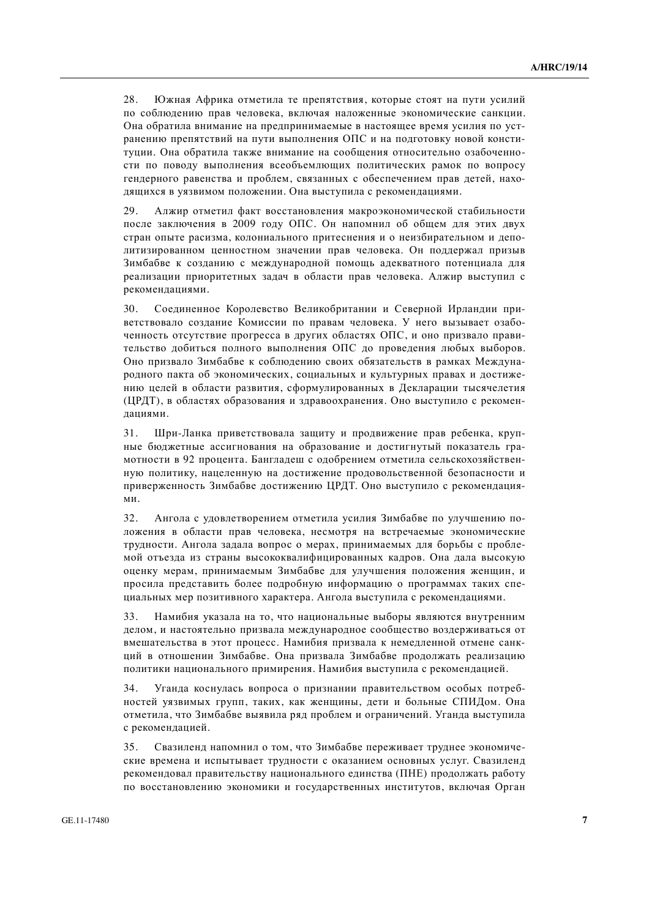28. Южная Африка отметила те препятствия, которые стоят на пути усилий по соблюдению прав человека, включая наложенные экономические санкции. Она обратила внимание на предпринимаемые в настоящее время усилия по устранению препятствий на пути выполнения ОПС и на подготовку новой конституции. Она обратила также внимание на сообщения относительно озабоченности по поводу выполнения всеобъемлюших политических рамок по вопросу генлерного равенства и проблем, связанных с обеспечением прав летей, находящихся в уязвимом положении. Она выступила с рекомендациями.

29. Алжир отметил факт восстановления макроэкономической стабильности после заключения в 2009 году ОПС. Он напомнил об общем для этих двух стран опыте расизма, колониального притеснения и о неизбирательном и деполитизированном ценностном значении прав человека. Он поддержал призыв Зимбабве к созданию с международной помошь адекватного потенциала для реализации приоритетных задач в области прав человека. Алжир выступил с рекомендациями.

30. Соелиненное Королевство Великобритании и Северной Ирланлии приветствовало создание Комиссии по правам человека. У него вызывает озабоченность отсутствие прогресса в других областях ОПС, и оно призвало правительство добиться полного выполнения ОПС до проведения любых выборов. Оно призвало Зимбабве к соблюдению своих обязательств в рамках Международного пакта об экономических, социальных и культурных правах и достижению целей в области развития, сформулированных в Декларации тысячелетия (ШРДТ), в областях образования и здравоохранения. Оно выступило с рекоменланиями.

31. Шри-Ланка приветствовала защиту и продвижение прав ребенка, крупные бюджетные ассигнования на образование и достигнутый показатель грамотности в 92 процента. Бангладеш с одобрением отметила сельскохозяйственную политику, нацеленную на достижение продовольственной безопасности и приверженность Зимбабве достижению ЦРДТ. Оно выступило с рекомендациямu.

32. Ангола с удовлетворением отметила усилия Зимбабве по улучшению положения в области прав человека, несмотря на встречаемые экономические трулности. Ангола залала вопрос о мерах, принимаемых для борьбы с проблемой отъезла из страны высококвалифицированных калров. Она лала высокую оценку мерам, принимаемым Зимбабве для улучшения положения женщин, и просила представить более подробную информацию о программах таких специальных мер позитивного характера. Ангола выступила с рекомендациями.

33. Намибия указала на то, что национальные выборы являются внутренним делом, и настоятельно призвала международное сообщество воздерживаться от вмешательства в этот процесс. Намибия призвала к немедленной отмене санкций в отношении Зимбабве. Она призвала Зимбабве продолжать реализацию политики национального примирения. Намибия выступила с рекомендацией.

34. Уганда коснулась вопроса о признании правительством особых потребностей уязвимых групп, таких, как женщины, дети и больные СПИДом. Она отметила, что Зимбабве выявила ряд проблем и ограничений. Уганда выступила с рекомендацией.

35. Свазиленд напомнил о том, что Зимбабве переживает труднее экономические времена и испытывает трудности с оказанием основных услуг. Свазиленд рекомендовал правительству национального единства (ПНЕ) продолжать работу по восстановлению экономики и государственных институтов, включая Орган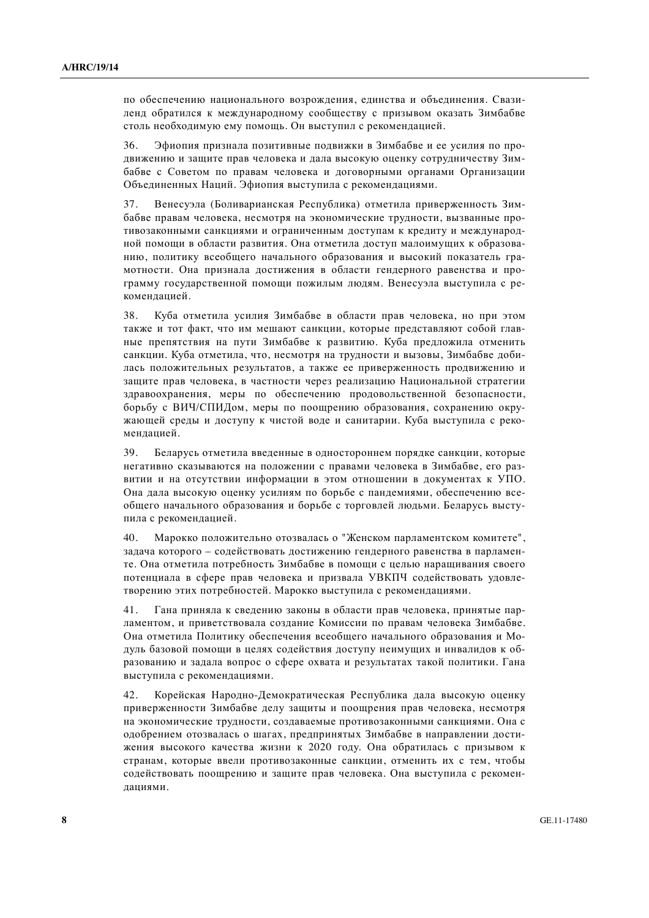по обеспечению национального возрождения, единства и объединения. Свазиленд обратился к международному сообществу с призывом оказать Зимбабве столь необходимую ему помощь. Он выступил с рекомендацией.

36. Эфиопия признала позитивные подвижки в Зимбабве и ее усилия по продвижению и защите прав человека и дала высокую оценку сотрудничеству Зимбабве с Советом по правам человека и договорными органами Организации Объединенных Наций. Эфиопия выступила с рекомендациями.

37. Венесуэла (Боливарианская Республика) отметила приверженность Зимбабве правам человека, несмотря на экономические трудности, вызванные противозаконными санкциями и ограниченным доступам к кредиту и международной помощи в области развития. Она отметила доступ малоимущих к образованию, политику всеобщего начального образования и высокий показатель грамотности. Она признала достижения в области гендерного равенства и программу государственной помощи пожилым людям. Венесуэла выступила с рекомендацией.

38. Куба отметила усилия Зимбабве в области прав человека, но при этом также и тот факт, что им мешают санкции, которые представляют собой главные препятствия на пути Зимбабве к развитию. Куба предложила отменить санкции. Куба отметила, что, несмотря на трудности и вызовы, Зимбабве добилась положительных результатов, а также ее приверженность продвижению и защите прав человека, в частности через реализацию Национальной стратегии здравоохранения, меры по обеспечению продовольственной безопасности, борьбу с ВИЧ/СПИЛом, меры по поошрению образования, сохранению окружающей среды и доступу к чистой воде и санитарии. Куба выступила с рекоменлацией.

39. Беларусь отметила введенные в одностороннем порядке санкции, которые негативно сказываются на положении с правами человека в Зимбабве, его развитии и на отсутствии информации в этом отношении в документах к УПО. Она дала высокую оценку усилиям по борьбе с пандемиями, обеспечению всеобщего начального образования и борьбе с торговлей людьми. Беларусь выступила с рекомендацией.

40. Марокко положительно отозвалась о "Женском парламентском комитете", залача которого – солействовать лостижению генлерного равенства в парламенте. Она отметила потребность Зимбабве в помощи с целью наращивания своего потенциала в сфере прав человека и призвала УВКПЧ содействовать удовлетворению этих потребностей. Марокко выступила с рекомендациями.

41. Гана приняла к сведению законы в области прав человека, принятые парламентом, и приветствовала создание Комиссии по правам человека Зимбабве. Она отметила Политику обеспечения всеобщего начального образования и Модуль базовой помощи в целях содействия доступу неимущих и инвалидов к образованию и задала вопрос о сфере охвата и результатах такой политики. Гана выступила с рекомендациями.

42. Корейская Народно-Демократическая Республика дала высокую оценку приверженности Зимбабве делу защиты и поощрения прав человека, несмотря на экономические трудности, создаваемые противозаконными санкциями. Она с одобрением отозвалась о шагах, предпринятых Зимбабве в направлении достижения высокого качества жизни к 2020 году. Она обратилась с призывом к странам, которые ввели противозаконные санкции, отменить их с тем, чтобы содействовать поощрению и защите прав человека. Она выступила с рекоменланиями.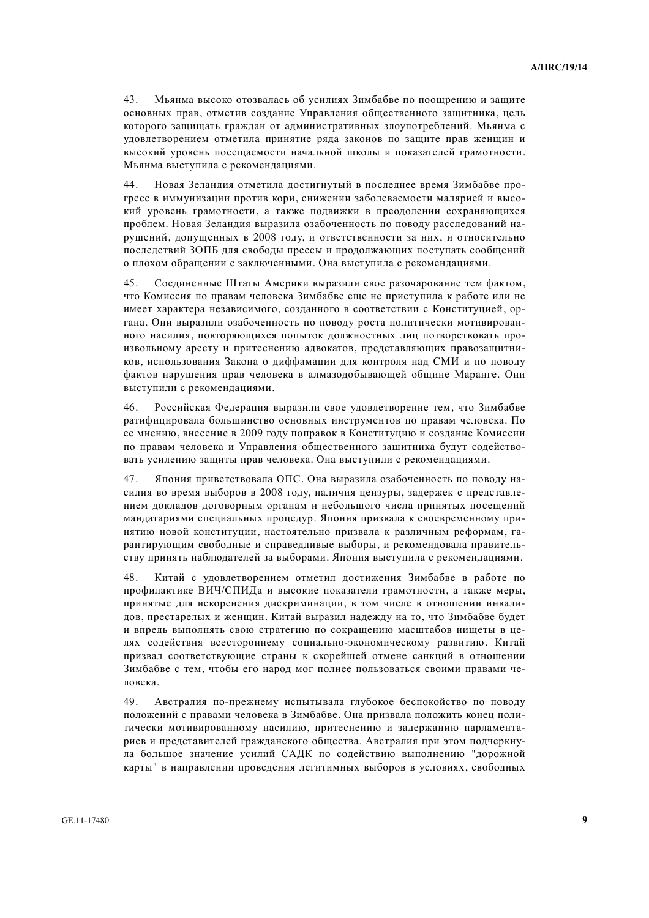43. Мьянма высоко отозвалась об усилиях Зимбабве по поощрению и защите основных прав, отметив создание Управления общественного защитника, цель которого защищать граждан от административных злоупотреблений. Мьянма с удовлетворением отметила принятие ряда законов по защите прав женщин и высокий уровень посещаемости начальной школы и показателей грамотности. Мьянма выступила с рекомендациями.

44. Новая Зеландия отметила достигнутый в последнее время Зимбабве прогресс в иммунизации против кори, снижении заболеваемости малярией и высокий уровень грамотности, а также подвижки в преодолении сохраняющихся проблем. Новая Зеланлия выразила озабоченность по поволу расслелований нарушений, допущенных в 2008 году, и ответственности за них, и относительно последствий ЗОПБ для свободы прессы и продолжающих поступать сообщений о плохом обрашении с заключенными. Она выступила с рекоменлациями.

45. Соединенные Штаты Америки выразили свое разочарование тем фактом, что Комиссия по правам человека Зимбабве еще не приступила к работе или не имеет характера независимого, созланного в соответствии с Конституцией, органа. Они выразили озабоченность по поводу роста политически мотивированного насилия, повторяющихся попыток должностных лиц потворствовать произвольному аресту и притеснению адвокатов, представляющих правозащитников, использования Закона о диффамации для контроля над СМИ и по поводу фактов нарушения прав человека в алмазодобывающей общине Маранге. Они выступили с рекомендациями.

46. Российская Федерация выразили свое удовлетворение тем, что Зимбабве ратифицировала большинство основных инструментов по правам человека. По ее мнению, внесение в 2009 году поправок в Конституцию и создание Комиссии по правам человека и Управления общественного защитника будут содействовать усилению защиты прав человека. Она выступили с рекомендациями.

47. Япония приветствовала ОПС. Она выразила озабоченность по поводу насилия во время выборов в 2008 году, наличия цензуры, задержек с представлением докладов договорным органам и небольшого числа принятых посещений мандатариями специальных процедур. Япония призвала к своевременному принятию новой конституции, настоятельно призвала к различным реформам, гарантирующим своболные и справелливые выборы, и рекоменловала правительству принять наблюлателей за выборами. Япония выступила с рекоменлациями.

48. Китай с удовлетворением отметил достижения Зимбабве в работе по профилактике ВИЧ/СПИДа и высокие показатели грамотности, а также меры, принятые для искоренения дискриминации, в том числе в отношении инвалидов, престарелых и женщин. Китай выразил надежду на то, что Зимбабве будет и впредь выполнять свою стратегию по сокращению масштабов нищеты в целях содействия всестороннему социально-экономическому развитию. Китай призвал соответствующие страны к скорейшей отмене санкций в отношении Зимбабве с тем, чтобы его народ мог полнее пользоваться своими правами человека.

49. Австралия по-прежнему испытывала глубокое беспокойство по поводу положений с правами человека в Зимбабве. Она призвала положить конец политически мотивированному насилию, притеснению и задержанию парламентариев и представителей гражданского общества. Австралия при этом подчеркнула большое значение усилий САДК по содействию выполнению "дорожной карты" в направлении проведения легитимных выборов в условиях, свободных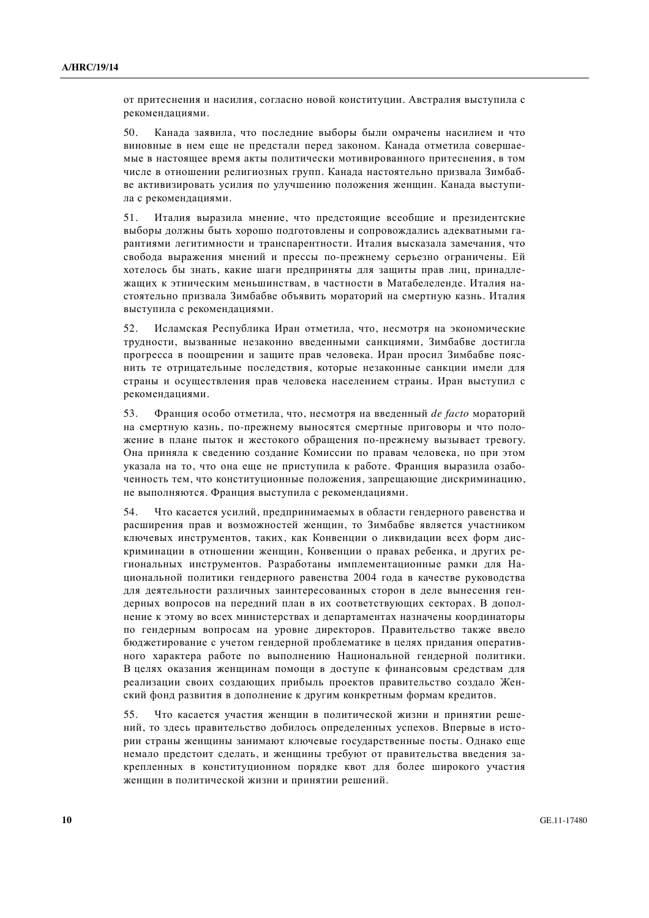от притеснения и насилия, согласно новой конституции. Австралия выступила с рекомендациями.

50. Канада заявила, что последние выборы были омрачены насилием и что виновные в нем еще не предстали перед законом. Канада отметила совершаемые в настоящее время акты политически мотивированного притеснения, в том числе в отношении религиозных групп. Канада настоятельно призвала Зимбабве активизировать усилия по улучшению положения женщин. Канада выступила с рекомендациями.

51. Италия выразила мнение, что прелстоящие всеобшие и презилентские выборы должны быть хорошо подготовлены и сопровождались адекватными гарантиями легитимности и транспарентности. Италия высказала замечания, что свобода выражения мнений и прессы по-прежнему серьезно ограничены. Ей хотелось бы знать, какие шаги предприняты для защиты прав лиц, принадлежащих к этническим меньшинствам, в частности в Матабелеленде. Италия настоятельно призвала Зимбабве объявить мораторий на смертную казнь. Италия выступила с рекомендациями.

52. Исламская Республика Иран отметила, что, несмотря на экономические трулности, вызванные незаконно ввеленными санкциями, Зимбабве лостигла прогресса в поошрении и зашите прав человека. Иран просил Зимбабве пояснить те отрицательные последствия, которые незаконные санкции имели для страны и осуществления прав человека населением страны. Иран выступил с рекомендациями.

53. Франция особо отметила, что, несмотря на введенный *de facto* мораторий на смертную казнь, по-прежнему выносятся смертные приговоры и что положение в плане пыток и жестокого обращения по-прежнему вызывает тревогу. Она приняла к свелению созлание Комиссии по правам человека, но при этом указала на то, что она еще не приступила к работе. Франция выразила озабоченность тем, что конституционные положения, запрещающие дискриминацию, не выполняются. Франция выступила с рекомендациями.

54. Что касается усилий, предпринимаемых в области гендерного равенства и расширения прав и возможностей женщин, то Зимбабве является участником ключевых инструментов, таких, как Конвенции о ликвидации всех форм дискриминации в отношении женщин, Конвенции о правах ребенка, и других региональных инструментов. Разработаны имплементационные рамки для Национальной политики гендерного равенства 2004 года в качестве руководства для деятельности различных заинтересованных сторон в деле вынесения гендерных вопросов на передний план в их соответствующих секторах. В дополнение к этому во всех министерствах и департаментах назначены координаторы по гендерным вопросам на уровне директоров. Правительство также ввело бюджетирование с учетом гендерной проблематике в целях придания оперативного характера работе по выполнению Национальной гендерной политики. В целях оказания женщинам помощи в доступе к финансовым средствам для реализации своих создающих прибыль проектов правительство создало Женский фонд развития в дополнение к другим конкретным формам кредитов.

55. Что касается участия женщин в политической жизни и принятии решений, то здесь правительство добилось определенных успехов. Впервые в истории страны женщины занимают ключевые государственные посты. Однако еще немало предстоит сделать, и женщины требуют от правительства введения закрепленных в конституционном порядке квот для более широкого участия женщин в политической жизни и принятии решений.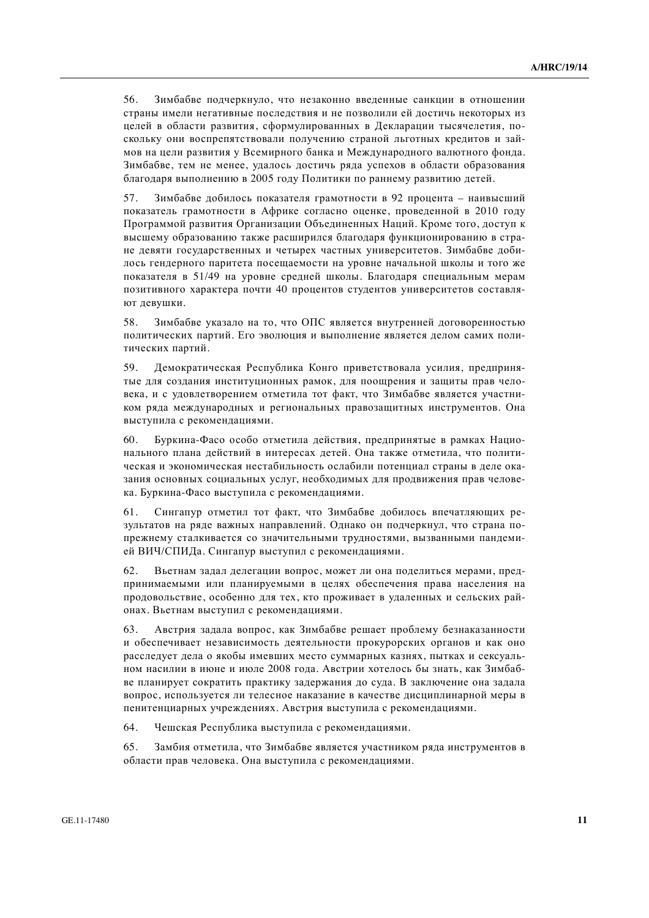56. Зимбабве подчеркнуло, что незаконно введенные санкции в отношении страны имели негативные последствия и не позволили ей достичь некоторых из целей в области развития, сформулированных в Декларации тысячелетия, поскольку они воспрепятствовали получению страной льготных кредитов и займов на цели развития у Всемирного банка и Международного валютного фонда. Зимбабве, тем не менее, удалось достичь ряда успехов в области образования благодаря выполнению в 2005 году Политики по раннему развитию детей.

57. Зимбабве добилось показателя грамотности в 92 процента – наивысший показатель грамотности в Африке согласно оценке, проведенной в 2010 году Программой развития Организации Объелиненных Наций. Кроме того, лоступ к высшему образованию также расширился благодаря функционированию в стране девяти государственных и четырех частных университетов. Зимбабве добилось гендерного паритета посешаемости на уровне начальной школы и того же показателя в 51/49 на уровне средней школы. Благодаря специальным мерам позитивного характера почти 40 процентов студентов университетов составляют девушки.

58. Зимбабве указало на то, что ОПС является внутренней договоренностью политических партий. Его эволюция и выполнение является делом самих политических партий.

59. Демократическая Республика Конго приветствовала усилия, предпринятые для создания институционных рамок, для поощрения и защиты прав человека, и с удовлетворением отметила тот факт, что Зимбабве является участником ряда международных и региональных правозащитных инструментов. Она выступила с рекомендациями.

60. Буркина-Фасо особо отметила действия, предпринятые в рамках Национального плана лействий в интересах летей. Она также отметила, что политическая и экономическая нестабильность ослабили потенциал страны в деле оказания основных социальных услуг, необходимых для продвижения прав человека. Буркина-Фасо выступила с рекомендациями.

61. Сингапур отметил тот факт, что Зимбабве добилось впечатляющих результатов на ряде важных направлений. Однако он подчеркнул, что страна попрежнему сталкивается со значительными трудностями, вызванными пандемией ВИЧ/СПИДа. Сингапур выступил с рекомендациями.

62. Вьетнам задал делегации вопрос, может ли она поделиться мерами, предпринимаемыми или планируемыми в целях обеспечения права населения на продовольствие, особенно для тех, кто проживает в удаленных и сельских районах. Вьетнам выступил с рекомендациями.

63. Австрия задала вопрос, как Зимбабве решает проблему безнаказанности и обеспечивает независимость деятельности прокурорских органов и как оно расследует дела о якобы имевших место суммарных казнях, пытках и сексуальном насилии в июне и июле 2008 года. Австрии хотелось бы знать, как Зимбабве планирует сократить практику задержания до суда. В заключение она задала вопрос, используется ли телесное наказание в качестве дисциплинарной меры в пенитенциарных учреждениях. Австрия выступила с рекомендациями.

64. Чешская Республика выступила с рекомендациями.

65. Замбия отметила, что Зимбабве является участником ряда инструментов в области прав человека. Она выступила с рекомендациями.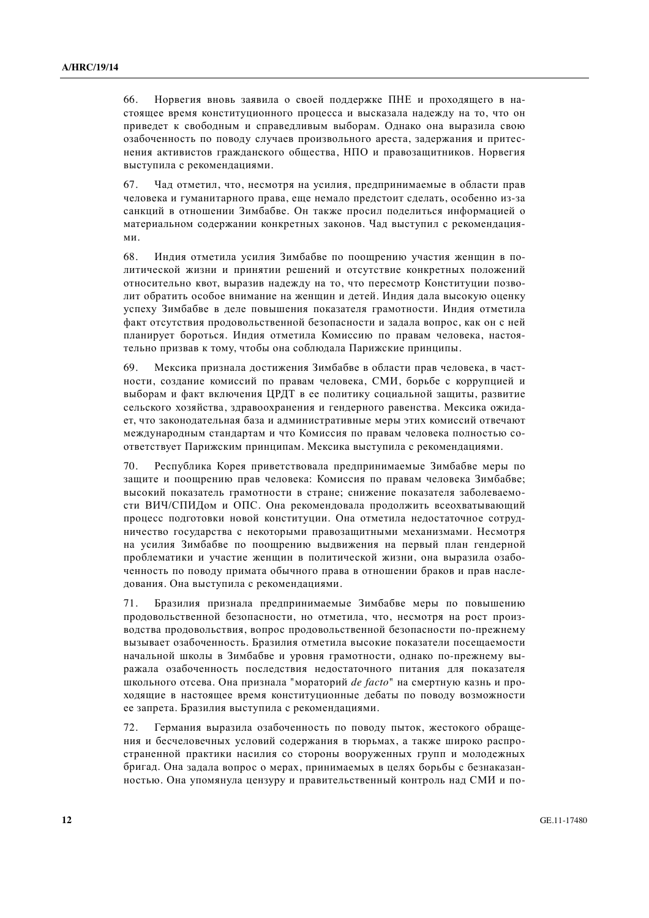66. Норвегия вновь заявила о своей поддержке ПНЕ и проходящего в настоящее время конституционного процесса и высказала надежду на то, что он приведет к свободным и справедливым выборам. Однако она выразила свою озабоченность по поводу случаев произвольного ареста, задержания и притеснения активистов гражданского обшества. НПО и правозашитников. Норвегия выступила с рекомендациями.

67. Чад отметил, что, несмотря на усилия, предпринимаемые в области прав человека и гуманитарного права, еще немало прелстоит слелать, особенно из-за санкций в отношении Зимбабве. Он также просил поделиться информацией о материальном солержании конкретных законов. Чал выступил с рекоменлация**ми** 

68. Индия отметила усилия Зимбабве по поощрению участия женщин в политической жизни и принятии решений и отсутствие конкретных положений относительно квот, выразив надежду на то, что пересмотр Конституции позволит обратить особое внимание на женщин и детей. Индия дала высокую оценку vспеху Зимбабве в деле повышения показателя грамотности. Индия отметила факт отсутствия продовольственной безопасности и задала вопрос, как он с ней планирует бороться. Индия отметила Комиссию по правам человека, настоятельно призвав к тому, чтобы она соблюдала Парижские принципы.

69. Мексика признала лостижения Зимбабве в области прав человека, в частности, создание комиссий по правам человека, СМИ, борьбе с коррупцией и выборам и факт включения ЦРДТ в ее политику социальной защиты, развитие сельского хозяйства, здравоохранения и гендерного равенства. Мексика ожилает, что законодательная база и административные меры этих комиссий отвечают международным стандартам и что Комиссия по правам человека полностью соответствует Парижским принципам. Мексика выступила с рекомендациями.

70. Республика Корея приветствовала предпринимаемые Зимбабве меры по защите и поощрению прав человека: Комиссия по правам человека Зимбабве; высокий показатель грамотности в стране; снижение показателя заболеваемости ВИЧ/СПИДом и ОПС. Она рекомендовала продолжить всеохватывающий процесс подготовки новой конституции. Она отметила недостаточное сотрудничество государства с некоторыми правозащитными механизмами. Несмотря на усилия Зимбабве по поошрению вылвижения на первый план генлерной проблематики и участие женщин в политической жизни, она выразила озабоченность по поводу примата обычного права в отношении браков и прав наследования. Она выступила с рекомендациями.

71. Бразилия признала предпринимаемые Зимбабве меры по повышению продовольственной безопасности, но отметила, что, несмотря на рост производства продовольствия, вопрос продовольственной безопасности по-прежнему вызывает озабоченность. Бразилия отметила высокие показатели посещаемости начальной школы в Зимбабве и уровня грамотности, однако по-прежнему выражала озабоченность последствия недостаточного питания для показателя школьного отсева. Она признала "мораторий de facto" на смертную казнь и проходящие в настоящее время конституционные дебаты по поводу возможности ее запрета. Бразилия выступила с рекомендациями.

72. Германия выразила озабоченность по поводу пыток, жестокого обращения и бесчеловечных условий содержания в тюрьмах, а также широко распространенной практики насилия со стороны вооруженных групп и молодежных бригад. Она задала вопрос о мерах, принимаемых в целях борьбы с безнаказанностью. Она упомянула цензуру и правительственный контроль над СМИ и по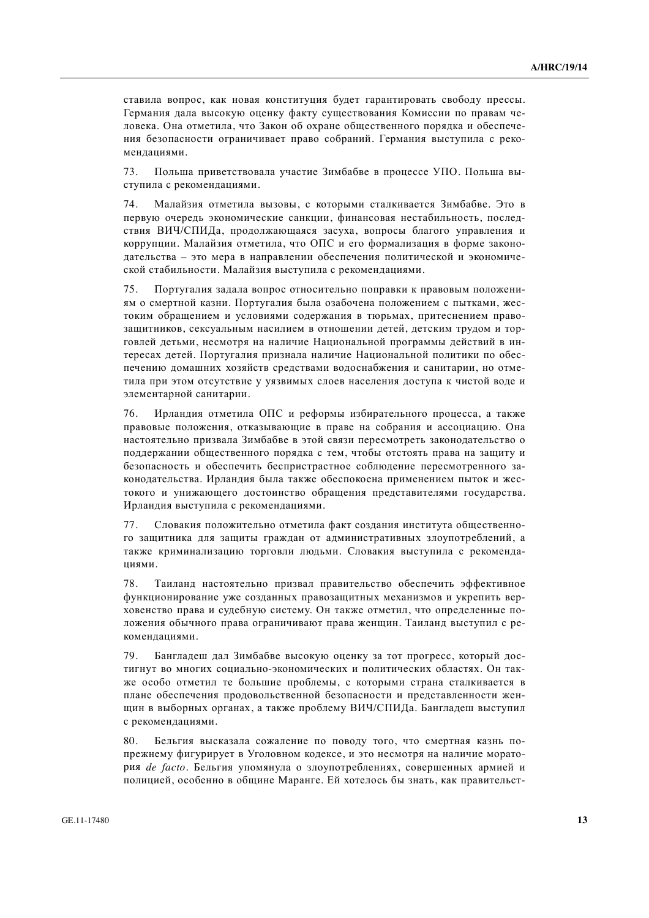ставила вопрос, как новая конституция будет гарантировать свободу прессы. Германия дала высокую оценку факту существования Комиссии по правам человека. Она отметила, что Закон об охране общественного порядка и обеспечения безопасности ограничивает право собраний. Германия выступила с рекомендациями.

73. Польша приветствовала участие Зимбабве в процессе УПО. Польша выступила с рекомендациями.

74. Малайзия отметила вызовы, с которыми сталкивается Зимбабве. Это в первую очерель экономические санкции, финансовая нестабильность, последствия ВИЧ/СПИДа, продолжающаяся засуха, вопросы благого управления и коррупции. Малайзия отметила, что ОПС и его формализация в форме законодательства – это мера в направлении обеспечения политической и экономической стабильности. Малайзия выступила с рекомендациями.

75. Португалия задала вопрос относительно поправки к правовым положениям о смертной казни. Португалия была озабочена положением с пытками, жестоким обращением и условиями содержания в тюрьмах, притеснением правозащитников, сексуальным насилием в отношении детей, детским трудом и торговлей детьми, несмотря на наличие Национальной программы действий в интересах летей. Португалия признала наличие Национальной политики по обеспечению домашних хозяйств средствами водоснабжения и санитарии, но отметила при этом отсутствие у уязвимых слоев населения доступа к чистой воде и элементарной санитарии.

76. Ирландия отметила ОПС и реформы избирательного процесса, а также правовые положения, отказывающие в праве на собрания и ассоциацию. Она настоятельно призвала Зимбабве в этой связи пересмотреть законодательство о поллержании обшественного порялка с тем, чтобы отстоять права на зашиту и безопасность и обеспечить беспристрастное соблюдение пересмотренного законодательства. Ирландия была также обеспокоена применением пыток и жестокого и унижающего достоинство обращения представителями государства. Ирландия выступила с рекомендациями.

77. Словакия положительно отметила факт создания института общественного защитника для защиты граждан от административных злоупотреблений, а также криминализацию торговли людьми. Словакия выступила с рекомендашиями.

78. Таиланд настоятельно призвал правительство обеспечить эффективное функционирование уже созданных правозащитных механизмов и укрепить верховенство права и судебную систему. Он также отметил, что определенные положения обычного права ограничивают права женщин. Таиланд выступил с рекомендациями.

79. Бангладеш дал Зимбабве высокую оценку за тот прогресс, который достигнут во многих социально-экономических и политических областях. Он также особо отметил те большие проблемы, с которыми страна сталкивается в плане обеспечения продовольственной безопасности и представленности женщин в выборных органах, а также проблему ВИЧ/СПИДа. Бангладеш выступил с рекомендациями.

80. Бельгия высказала сожаление по поводу того, что смертная казнь попрежнему фигурирует в Уголовном кодексе, и это несмотря на наличие моратория *de facto*. Бельгия упомянула о злоупотреблениях, совершенных армией и полицией, особенно в общине Маранге. Ей хотелось бы знать, как правительст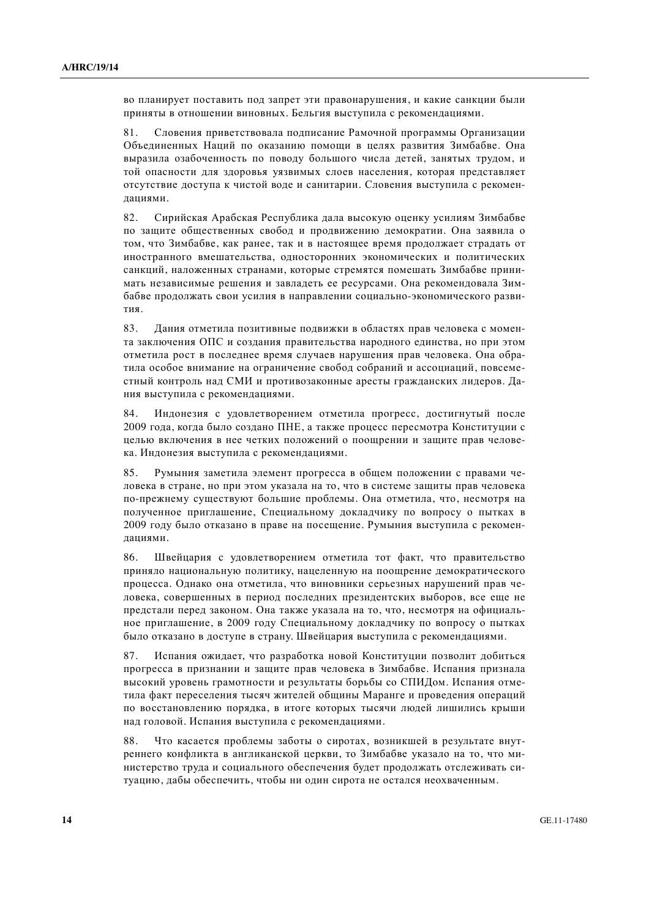во планирует поставить под запрет эти правонарушения, и какие санкции были приняты в отношении виновных. Бельгия выступила с рекомендациями.

81. Словения приветствовала подписание Рамочной программы Организации Объединенных Наций по оказанию помощи в целях развития Зимбабве. Она выразила озабоченность по поводу большого числа детей, занятых трудом, и той опасности для здоровья уязвимых слоев населения, которая представляет отсутствие доступа к чистой воде и санитарии. Словения выступила с рекомендациями.

82. Сирийская Арабская Республика дала высокую оценку усилиям Зимбабве по защите общественных свобод и продвижению демократии. Она заявила о том, что Зимбабве, как ранее, так и в настоящее время продолжает страдать от иностранного вмешательства, односторонних экономических и политических санкций, наложенных странами, которые стремятся помешать Зимбабве принимать независимые решения и завладеть ее ресурсами. Она рекомендовала Зимбабве продолжать свои усилия в направлении социально-экономического развити **я** 

83. Дания отметила позитивные подвижки в областях прав человека с момента заключения ОПС и созлания правительства народного единства, но при этом отметила рост в послелнее время случаев нарушения прав человека. Она обратила особое внимание на ограничение свобод собраний и ассоциаций, повсеместный контроль над СМИ и противозаконные аресты гражданских лидеров. Дания выступила с рекомендациями.

84. Индонезия с удовлетворением отметила прогресс, достигнутый после 2009 года, когда было создано ПНЕ, а также процесс пересмотра Конституции с целью включения в нее четких положений о поощрении и защите прав человека. Индонезия выступила с рекомендациями.

85. Румыния заметила элемент прогресса в общем положении с правами человека в стране, но при этом указала на то, что в системе защиты прав человека по-прежнему сушествуют большие проблемы. Она отметила, что, несмотря на полученное приглашение, Специальному докладчику по вопросу о пытках в 2009 году было отказано в праве на посещение. Румыния выступила с рекомендациями.

86. Швейцария с удовлетворением отметила тот факт, что правительство приняло национальную политику, нацеленную на поощрение демократического процесса. Однако она отметила, что виновники серьезных нарушений прав человека, совершенных в период последних президентских выборов, все еще не предстали перед законом. Она также указала на то, что, несмотря на официальное приглашение, в 2009 году Специальному докладчику по вопросу о пытках было отказано в доступе в страну. Швейцария выступила с рекомендациями.

87. Испания ожидает, что разработка новой Конституции позволит добиться прогресса в признании и защите прав человека в Зимбабве. Испания признала высокий уровень грамотности и результаты борьбы со СПИДом. Испания отметила факт переселения тысяч жителей общины Маранге и проведения операций по восстановлению порядка, в итоге которых тысячи людей лишились крыши над головой. Испания выступила с рекомендациями.

88. Что касается проблемы заботы о сиротах, возникшей в результате внутреннего конфликта в англиканской церкви, то Зимбабве указало на то, что министерство труда и социального обеспечения будет продолжать отслеживать ситуацию, дабы обеспечить, чтобы ни один сирота не остался неохваченным.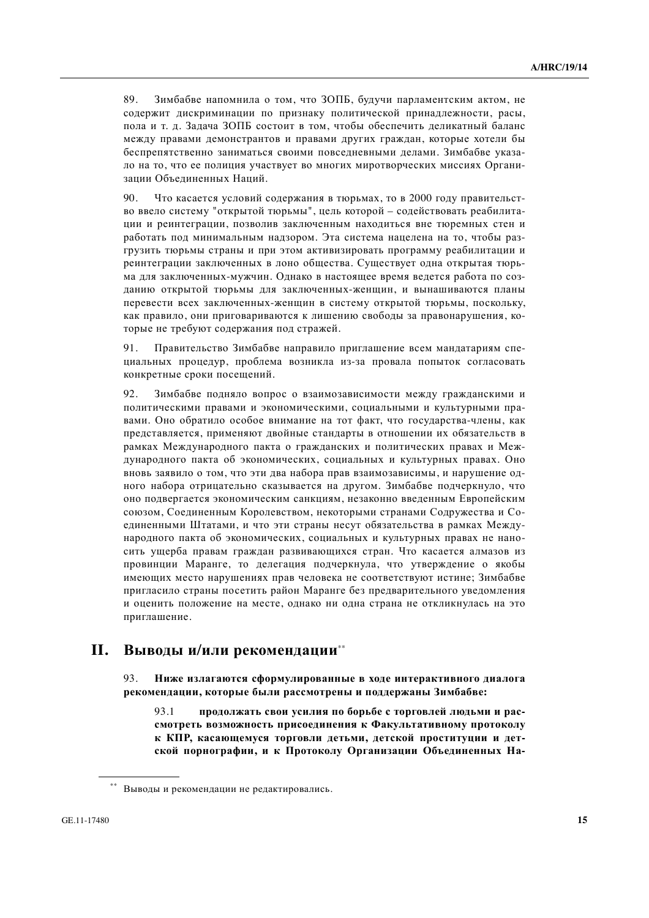89. Зимбабве напомнила о том, что ЗОПБ, будучи парламентским актом, не содержит дискриминации по признаку политической принадлежности, расы, пола и т. д. Задача ЗОПБ состоит в том, чтобы обеспечить деликатный баланс между правами демонстрантов и правами других граждан, которые хотели бы беспрепятственно заниматься своими повселневными лелами. Зимбабве указадо на то, что ее полиция участвует во многих миротворческих миссиях Организации Объелиненных Наций.

90. Что касается условий содержания в тюрьмах, то в 2000 году правительство ввело систему "открытой тюрьмы", цель которой – содействовать реабилитации и реинтеграции, позволив заключенным находиться вне тюремных стен и работать под минимальным надзором. Эта система нацелена на то, чтобы разгрузить тюрьмы страны и при этом активизировать программу реабилитации и реинтеграции заключенных в лоно общества. Существует одна открытая тюрьма для заключенных-мужчин. Однако в настоящее время ведется работа по созданию открытой тюрьмы для заключенных-женщин, и вынашиваются планы перевести всех заключенных-женщин в систему открытой тюрьмы, поскольку, как правило, они приговариваются к лишению свободы за правонарушения, которые не требуют содержания под стражей.

91. Правительство Зимбабве направило приглашение всем мандатариям специальных процедур, проблема возникла из-за провала попыток согласовать конкретные сроки посещений.

92. Зимбабве подняло вопрос о взаимозависимости между гражданскими и политическими правами и экономическими, социальными и культурными правами. Оно обратило особое внимание на тот факт, что государства-члены, как представляется, применяют двойные стандарты в отношении их обязательств в рамках Международного пакта о гражданских и политических правах и Международного пакта об экономических, социальных и культурных правах. Оно вновь заявило о том, что эти два набора прав взаимозависимы, и нарушение одного набора отрицательно сказывается на другом. Зимбабве подчеркнуло, что оно полвергается экономическим санкциям, незаконно ввеленным Европейским союзом, Соединенным Королевством, некоторыми странами Содружества и Соединенными Штатами, и что эти страны несут обязательства в рамках Международного пакта об экономических, социальных и культурных правах не наносить ущерба правам граждан развивающихся стран. Что касается алмазов из провинции Маранге, то делегация подчеркнула, что утверждение о якобы имеющих место нарушениях прав человека не соответствуют истине; Зимбабве пригласило страны посетить район Маранге без предварительного уведомления и оценить положение на месте, однако ни одна страна не откликнулась на это приглашение.

## **II.** Выводы и/или рекомендации\*\*

93. **Ниже излагаются сформулированные в ходе интерактивного диалога** рекомендации, которые были рассмотрены и поддержаны Зимбабве:

93.1 продолжать свои усилия по борьбе с торговлей людьми и рас**кмотреть возможность присоединения к Факультативному протоколу к** КПР, касающемуся торговли детьми, детской проституции и детской порнографии, и к Протоколу Организации Объединенных На-

<sup>\*\*</sup> Выводы и рекомендации не редактировались.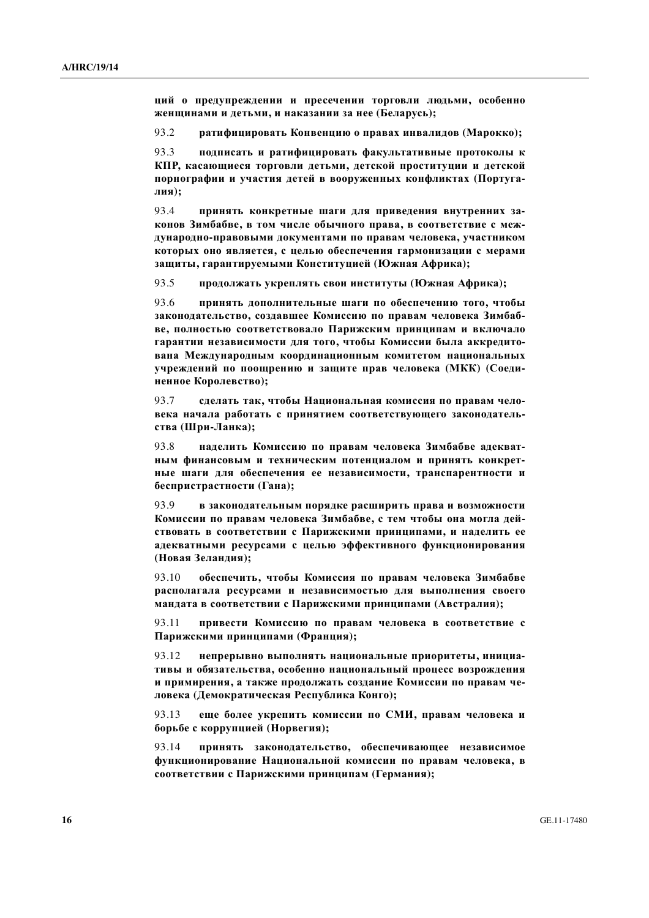**щий о предупреждении и пресечении торговли людьми, особенно**  $X$ енщинами и детьми, и наказании за нее (Беларусь);

93.2 **haтифицировать Конвенцию о правах инвалидов (Марокко);** 

93.3 подписать и ратифицировать факультативные протоколы к КПР, касающиеся торговли детьми, детской проституции и детской порнографии и участия детей в вооруженных конфликтах (Португа**ɥɢɹ);**

93.4 **принять конкретные шаги для приведения внутренних за**конов Зимбабве, в том числе обычного права, в соответствие с международно-правовыми документами по правам человека, участником которых оно является, с целью обеспечения гармонизации с мерами защиты, гарантируемыми Конституцией (Южная Африка);

93.5 продолжать укреплять свои институты (Южная Африка);

93.6 **принять дополнительные шаги по обеспечению того, чтобы** законодательство, создавшее Комиссию по правам человека Зимбаб**ве, полностью соответствовало Парижским принципам и включало** Гарантии независимости для того, чтобы Комиссии была аккредито**вана Международным координационным комитетом национальных** Учреждений по поощрению и защите прав человека (МКК) (Соеди**ненное Королевство);** 

93.7 **•• слелать так, чтобы Национальная комиссия по правам человека начала работать с принятием соответствующего законодательства** (Шри-Ланка);

93.8 **иаделить Комиссию по правам человека Зимбабве адекват-НЫМ ФИНАНСОВЫМ И ТЕХНИЧЕСКИМ ПОТЕНЦИАЛОМ И ПРИНЯТЬ КОНКРЕТ-НЫЕ** ШАГИ ДЛЯ Обеспечения ее независимости, транспарентности и  $6$ еспристрастности (Гана);

93.9 в законодательным порядке расширить права и возможности Комиссии по правам человека Зимбабве, с тем чтобы она могла дей**ктвовать в соответствии с Парижскими принципами, и наделить ее** адекватными ресурсами с целью эффективного функционирования  $(H$ овая Зеландия);

93.10 обеспечить, чтобы Комиссия по правам человека Зимбабве **изсполагала ресурсами и независимостью для выполнения своего** мандата в соответствии с Парижскими принципами (Австралия);

93.11 **привести Комиссию по правам человека в соответствие с** Парижскими принципами (Франция);

93.12 непрерывно выполнять национальные приоритеты, инициативы и обязательства, особенно национальный процесс возрождения **и примирения, а также продолжать создание Комиссии по правам че**довека (Демократическая Республика Конго);

93.13 еще более укрепить комиссии по СМИ, правам человека и  $6$ орьбе с коррупцией (Норвегия);

93.14 принять законодательство, обеспечивающее независимое  $\phi$ ункционирование Национальной комиссии по правам человека, в **соответствии с Парижскими принципам (Германия);**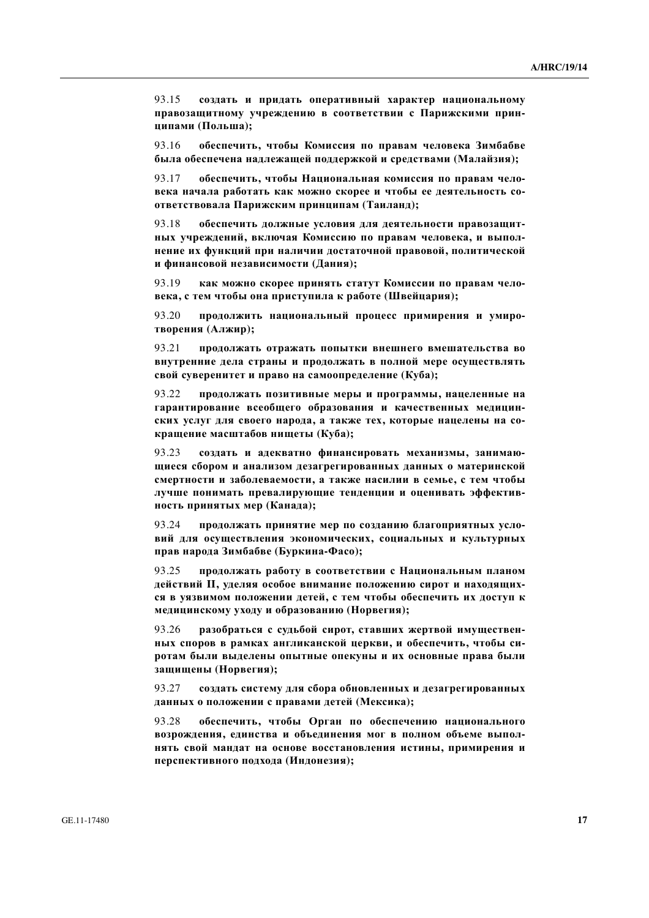93.15 **создать и придать оперативный характер национальному** правозащитному учреждению в соответствии с Парижскими прин**ɰɢɩɚɦɢ (ɉɨɥɶɲɚ);**

93.16 **•• обеспечить, чтобы Комиссия по правам человека Зимбабве ɛɵɥɚ ɨɛɟɫɩɟɱɟɧɚ ɧɚɞɥɟɠɚɳɟɣ ɩɨɞɞɟɪɠɤɨɣ ɢ ɫɪɟɞɫɬɜɚɦɢ (Ɇɚɥɚɣɡɢɹ);**

93.17 • обеспечить, чтобы Национальная комиссия по правам чело**века начала работать как можно скорее и чтобы ее деятельность соутветствовала Парижским принципам (Таиланд);** 

93.18 **ɨɛɟɫɩɟɱɢɬɶ ɞɨɥɠɧɵɟ ɭɫɥɨɜɢɹ ɞɥɹ ɞɟɹɬɟɥɶɧɨɫɬɢ ɩɪɚɜɨɡɚɳɢɬ-НЫХ УЧРЕЖДЕНИЙ, ВКЛЮЧАЯ КОМИССИЮ ПО ПРАВАМ ЧЕЛОВЕКА, И ВЫПОЛ-**Нение их функций при наличии достаточной правовой, политической **ɢ ɮɢɧɚɧɫɨɜɨɣ ɧɟɡɚɜɢɫɢɦɨɫɬɢ (Ⱦɚɧɢɹ);**

93.19 **как можно скорее принять статут Комиссии по правам человека**, с тем чтобы она приступила к работе (Швейцария);

93.20 продолжить национальный процесс примирения и умиро- $TB$ орения (Алжир);

93.21 продолжать отражать попытки внешнего вмешательства во **внутренние дела страны и продолжать в полной мере осуществлять** свой суверенитет и право на самоопределение (Куба);

93.22 продолжать позитивные меры и программы, нацеленные на Гарантирование всеобщего образования и качественных медицинских услуг для своего народа, а также тех, которые нацелены на сокращение масштабов нищеты (Куба);

93.23 **созлать и алекватно финансировать механизмы, занимаюшиеся сбором и анализом дезагрегированных данных о материнской** смертности и заболеваемости, а также насилии в семье, с тем чтобы дучше понимать превалирующие тенденции и оценивать эффектив**ность принятых мер (Канада);** 

93.24 **продолжать принятие мер по созданию благоприятных усло-ВИЙ ДЛЯ ОСУЩЕСТВЛЕНИЯ ЭКОНОМИЧЕСКИХ, СОЦИЯЛЬНЫХ И КУЛЬТУРНЫХ** прав народа Зимбабве (Буркина-Фасо);

93.25 продолжать работу в соответствии с Национальным планом действий II, уделяя особое внимание положению сирот и находящихся в уязвимом положении детей, с тем чтобы обеспечить их доступ к  $M$ едицинскому уходу и образованию (Норвегия);

93.26 разобраться с судьбой сирот, ставших жертвой имуществен-**НЫХ СПОРОВ В РАМКАХ АНГЛИКАНСКОЙ ЦЕРКВИ, И Обеспечить, чтобы сиротам были выделены опытные опекуны и их основные права были** защищены (Норвегия);

93.27 **• создать систему для сбора обновленных и дезагрегированных** данных о положении с правами детей (Мексика);

93.28 обеспечить, чтобы Орган по обеспечению национального **возрождения, единства и объединения мог в полном объеме выпол-НЯТЬ СВОЙ МАНДАТ НА ОСНОВЕ ВОССТАНОВЛЕНИЯ ИСТИНЫ, ПРИМИРЕНИЯ И** перспективного подхода (Индонезия);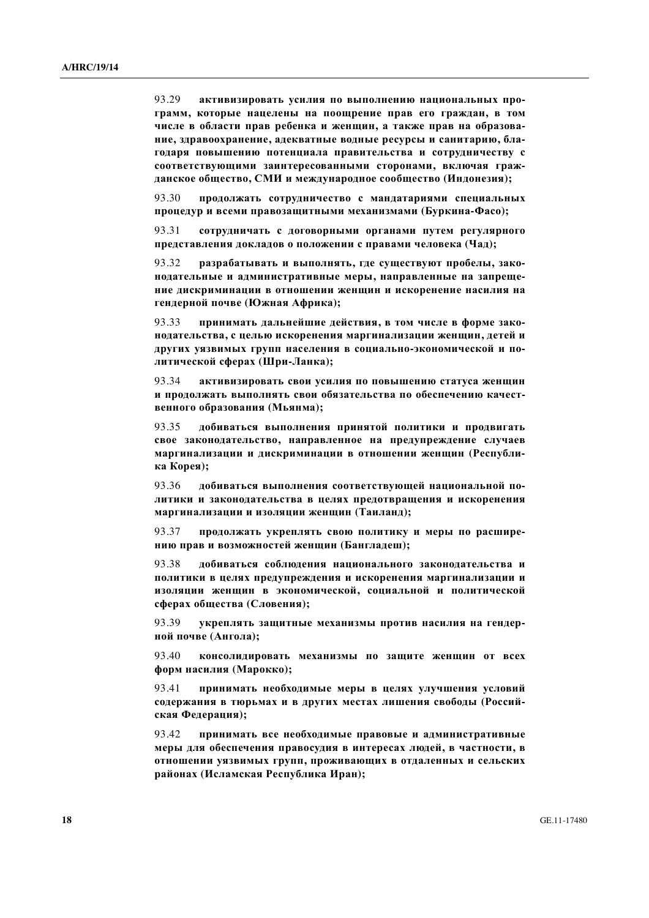93.29 активизировать усилия по выполнению национальных про-Грамм, которые нацелены на поощрение прав его граждан, в том числе в области прав ребенка и женщин, а также прав на образова**ние, здравоохранение, адекватные водные ресурсы и санитарию, бла**годаря повышению потенциала правительства и сотрудничеству с соответствующими заинтересованными сторонами, включая гражданское общество, СМИ и международное сообщество (Индонезия);

93.30 **продолжать сотрудничество с мандатариями специальных** процедур и всеми правозащитными механизмами (Буркина-Фасо);

93.31 **• сотрудничать с договорными органами путем регулярного** представления докладов о положении с правами человека (Чад);

93.32 **вазрабатывать и выполнять, где сушествуют пробелы, законодательные и административные меры, направленные на запреще-НИЕ ДИСКРИМИНАЦИИ В ОТНОШЕНИИ ЖЕНЩИН И ИСКОРЕНЕНИЕ НАСИЛИЯ НА** гендерной почве (Южная Африка);

93.33 принимать дальнейшие действия, в том числе в форме зако**нодательства, с целью искоренения маргинализации женщин, детей и** Других уязвимых групп населения в социально-экономической и политической сферах (Шри-Ланка);

93.34 активизировать свои усилия по повышению статуса женщин **и продолжать выполнять свои обязательства по обеспечению качест-** $B$ енного образования (Мьянма);

93.35 добиваться выполнения принятой политики и продвигать свое законодательство, направленное на предупреждение случаев **маргинализации и дискриминации в отношении женщин (Республика** Корея);

93.36 добиваться выполнения соответствующей национальной по-ЛИТИКИ И ЗАКОНОДАТЕЛЬСТВА В ЦЕЛЯХ ПРЕДОТВРАЩЕНИЯ И ИСКОРЕНЕНИЯ **маргинализации и изоляции женщин (Таиланд);** 

93.37 **продолжать укреплять свою политику и меры по расширению прав и возможностей женщин (Банглалеш):** 

93.38 добиваться соблюдения национального законодательства и политики в целях предупреждения и искоренения маргинализации и изоляции женщин в экономической, социальной и политической  $cb$ ерах общества (Словения);

93.39 **укреплять защитные механизмы против насилия на гендерной почве (Ангола);** 

93.40 консолидировать механизмы по защите женщин от всех **форм насилия (Марокко);** 

93.41 принимать необходимые меры в целях улучшения условий содержания в тюрьмах и в других местах лишения свободы (Российская Федерация);

93.42 принимать все необходимые правовые и административные Меры для обеспечения правосудия в интересах людей, в частности, в **уношении уязвимых групп, проживающих в отдаленных и сельских ыйонах** (Исламская Республика Иран);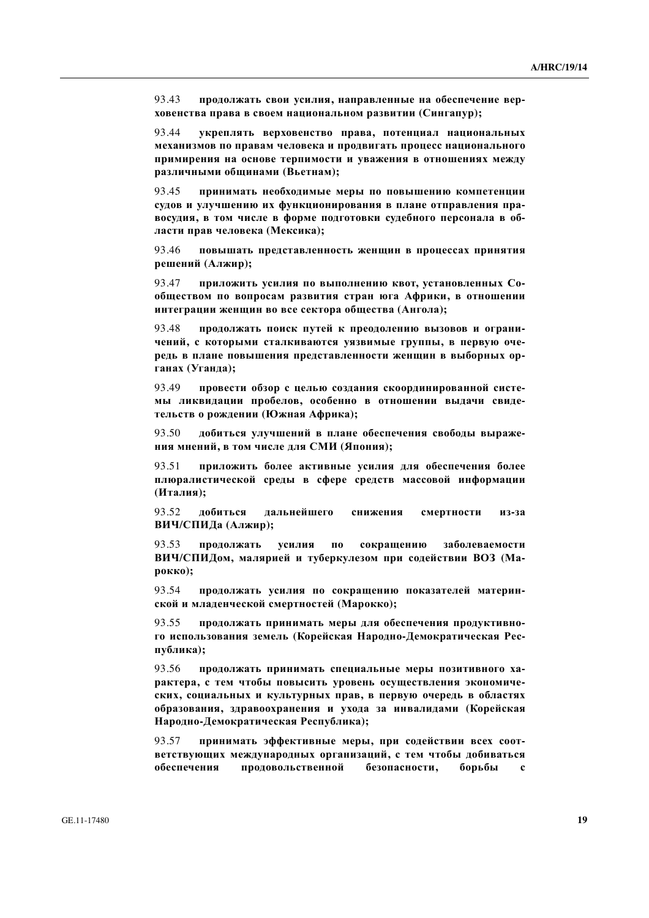93.43 продолжать свои усилия, направленные на обеспечение вер**жовенства права в своем национальном развитии (Сингапур);** 

93.44 **укреплять верховенство права, потенциал национальных** механизмов по правам человека и продвигать процесс национального примирения на основе терпимости и уважения в отношениях между  $pa$ зличными общинами (Вьетнам);

93.45 принимать необходимые меры по повышению компетенции судов и улучшению их функционирования в плане отправления пра**восудия, в том числе в форме подготовки судебного персонала в об**ласти прав человека (Мексика);

93.46 повышать представленность женщин в процессах принятия  $\bf$  решений (Алжир);

93.47 **приложить усилия по выполнению квот, установленных Со-• бществом по вопросам развития стран юга Африки, в отношении интеграции женщин во все сектора общества (Ангола);** 

93.48 **продолжать поиск путей к преодолению вызовов и ограни-**Чений, с которыми сталкиваются уязвимые группы, в первую очередь в плане повышения представленности женщин в выборных органах (Уганда);

93.49 **провести обзор с целью создания скоординированной систе-**МЫ ЛИКВИДАЦИИ ПРОбелов, особенно в отношении выдачи свидетельств о рождении (Южная Африка);

93.50 добиться улучшений в плане обеспечения свободы выраже-**НИЯ МНЕНИЙ, В ТОМ ЧИСЛЕ ДЛЯ СМИ (ЯПОНИЯ);** 

93.51 приложить более активные усилия для обеспечения более плюралистической среды в сфере средств массовой информации (Италия);

93.52 лобиться лальнейшего снижения смертности из-за ВИЧ/СПИДа (Алжир);

93.53 продолжать усилия по сокрашению заболеваемости ВИЧ/СПИДом, малярией и туберкулезом при содействии ВОЗ (Ма**p**<sub>0</sub> $(k)$ **;** 

93.54 продолжать усилия по сокращению показателей материн- $\mathbf{c}$ кой и младенческой смертностей (Марокко);

93.55 продолжать принимать меры для обеспечения продуктивного использования земель (Корейская Народно-Демократическая Республика);

93.56 продолжать принимать специальные меры позитивного ха**рактера**, с тем чтобы повысить уровень осуществления экономических, социальных и культурных прав, в первую очередь в областях **• бразования, здравоохранения и ухода за инвалидами (Корейская** Народно-Демократическая Республика);

93.57 принимать эффективные меры, при содействии всех соот**ветствующих международных организаций, с тем чтобы добиваться**  $\overline{1}$  **азимитной сезопасности, борьбы с**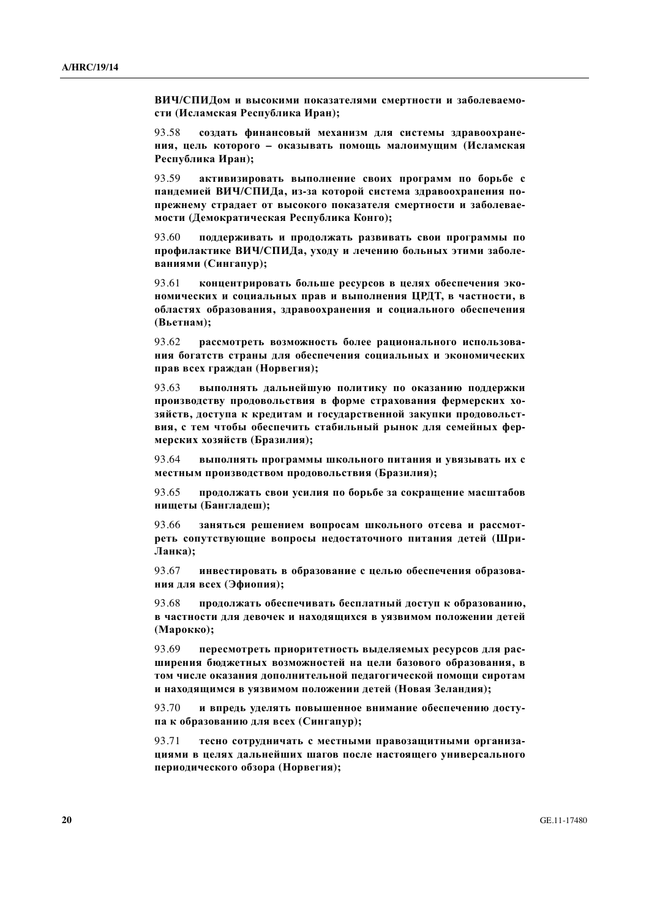ВИЧ/СПИДом и высокими показателями смертности и заболеваемости (Исламская Республика Иран);

93.58 **создать финансовый механизм для системы здравоохране-НИЯ, ЦЕЛЬ КОТОРОГО - ОКАЗЫВАТЬ ПОМОЩЬ МАЛОИМУЩИМ (ИСЛАМСКАЯ** Республика Иран);

93.59 активизировать выполнение своих программ по борьбе с Пандемией ВИЧ/СПИДа, из-за которой система здравоохранения попрежнему страдает от высокого показателя смертности и заболевае- $M$ ости (Демократическая Республика Конго);

93.60 **поддерживать и продолжать развивать свои программы по** профилактике ВИЧ/СПИДа, уходу и лечению больных этими заболе**ɜɚɧɢɹɦɢ (ɋɢɧɝɚɩɭɪ);**

93.61 концентрировать больше ресурсов в целях обеспечения эко-**НОМИЧЕСКИХ И СОЦИАЛЬНЫХ ПРАВ И ВЫПОЛНЕНИЯ ЦРДТ, В ЧАСТНОСТИ, В ибластях** образования, здравоохранения и социального обеспечения (Вьетнам);

93.62 **вассмотреть возможность более рационального использова-НИЯ бОГАТСТВ СТРАНЫ ДЛЯ Обеспечения социальных и экономических** прав всех граждан (Норвегия);

93.63 выполнять дальнейшую политику по оказанию поддержки производству продовольствия в форме страхования фермерских хозяйств, доступа к кредитам и государственной закупки продовольст**вия, с тем чтобы обеспечить стабильный рынок для семейных фер-** $M$ ерских хозяйств (Бразилия);

93.64 **выполнять программы школьного питания и увязывать их с местным производством продовольствия (Бразилия);** 

93.65 **продолжать свои усилия по борьбе за сокращение масштабов ɧɢɳɟɬɵ (Ȼɚɧɝɥɚɞɟɲ);**

93.66 заняться решением вопросам школьного отсева и рассмот**реть сопутствующие вопросы недостаточного питания детей (Шри-Ʌɚɧɤɚ);**

93.67 инвестировать в образование с целью обеспечения образова**ния для всех (Эфиопия);** 

93.68 продолжать обеспечивать бесплатный доступ к образованию, В частности для девочек и находящихся в уязвимом положении детей **(Ɇɚɪɨɤɤɨ);** 

93.69 пересмотреть приоритетность выделяемых ресурсов для рас**ɲɢɪɟɧɢɹ ɛɸɞɠɟɬɧɵɯ ɜɨɡɦɨɠɧɨɫɬɟɣ ɧɚ ɰɟɥɢ ɛɚɡɨɜɨɝɨ ɨɛɪɚɡɨɜɚɧɢɹ, ɜ** том числе оказания дополнительной педагогической помощи сиротам **и находящимся в уязвимом положении детей (Новая Зеландия);** 

93.70 и впредь уделять повышенное внимание обеспечению доступа к образованию для всех (Сингапур);

93.71 **• тесно сотрудничать с местными правозащитными организа-ЩИЯМИ В ЦЕЛЯХ ДАЛЬНЕЙШИХ ШАГОВ ПОСЛЕ НАСТОЯЩЕГО УНИВЕРСАЛЬНОГО** периодического обзора (Норвегия);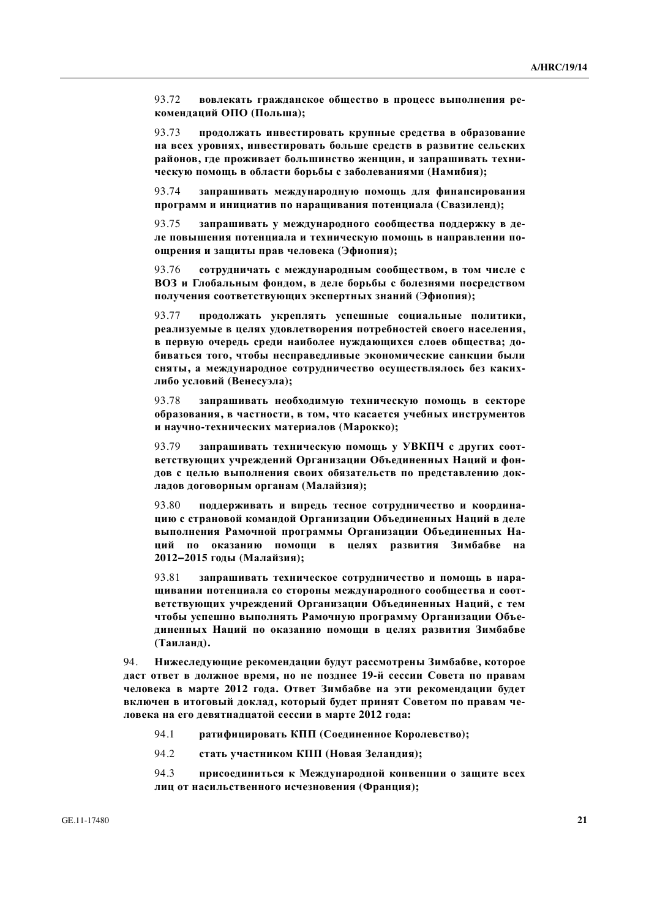93.72 вовлекать гражданское общество в процесс выполнения ре**комендаций ОПО** (Польша);

93.73 продолжать инвестировать крупные средства в образование **НА ВСЕХ УРОВНЯХ, ИНВЕСТИРОВАТЬ бОЛЬШЕ СРЕДСТВ В РАЗВИТИЕ СЕЛЬСКИХ** районов, где проживает большинство женщин, и запрашивать техническую помощь в области борьбы с заболеваниями (Намибия);

93.74 **запрашивать международную помощь для финансирования** программ и инициатив по наращивания потенциала (Свазиленд);

93.75 запрашивать у международного сообщества поддержку в де-Ле повышения потенциала и техническую помощь в направлении по**ощрения и защиты прав человека (Эфиопия);** 

93.76 **coтрудничать с международным сообществом, в том числе с** ВОЗ и Глобальным фондом, в деле борьбы с болезнями посредством получения соответствующих экспертных знаний (Эфиопия);

93.77 продолжать укреплять успешные социальные политики, реализуемые в целях удовлетворения потребностей своего населения, **в первую очередь среди наиболее нуждающихся слоев общества; добиваться того, чтобы несправедливые экономические санкции были** сняты, а международное сотрудничество осуществлялось без каких- $\boldsymbol{\pi}$ ибо условий (Венесуэла);

93.78 **3апрашивать необхолимую техническую помошь в секторе убразования, в частности, в том, что касается учебных инструментов и научно-технических материалов (Марокко);** 

93.79 **3апрашивать техническую помощь у УВКПЧ с других соответствующих учреждений Организации Объединенных Наций и фон**дов с целью выполнения своих обязательств по представлению док- $\boldsymbol{\text{J14,10B}}$  **договорным органам (Малайзия);** 

93.80 **поддерживать и впредь тесное сотрудничество и координаɰɢɸ ɫ ɫɬɪɚɧɨɜɨɣ ɤɨɦɚɧɞɨɣ Ɉɪɝɚɧɢɡɚɰɢɢ Ɉɛɴɟɞɢɧɟɧɧɵɯ ɇɚɰɢɣ ɜ ɞɟɥɟ выполнения Рамочной программы Организации Объединенных Наший по оказанию помощи в целях развития Зимбабве на**  $2012−2015$  годы (Малайзия);

93.81 запрашивать техническое сотрудничество и помощь в нара**шивании потенциала со стороны международного сообщества и соответствующих учреждений Организации Объединенных Наций, с тем** чтобы успешно выполнять Рамочную программу Организации Объединенных Наций по оказанию помощи в целях развития Зимбабве (Таиланд).

94. **Нижеследующие рекомендации будут рассмотрены Зимбабве, которое** даст ответ в должное время, но не позднее 19-й сессии Совета по правам Человека в марте 2012 года. Ответ Зимбабве на эти рекомендации будет **включен в итоговый доклад, который будет принят Советом по правам че**ловека на его девятнадцатой сессии в марте 2012 года:

- 94.1 ратифицировать КПП (Соединенное Королевство);
- 94.2 **стать участником КПП** (Новая Зеландия);

94.3 присоединиться к Международной конвенции о защите всех  $JHH$  ОТ НАСИЛЬСТВЕННОГО ИСЧЕЗНОВЕНИЯ (Франция);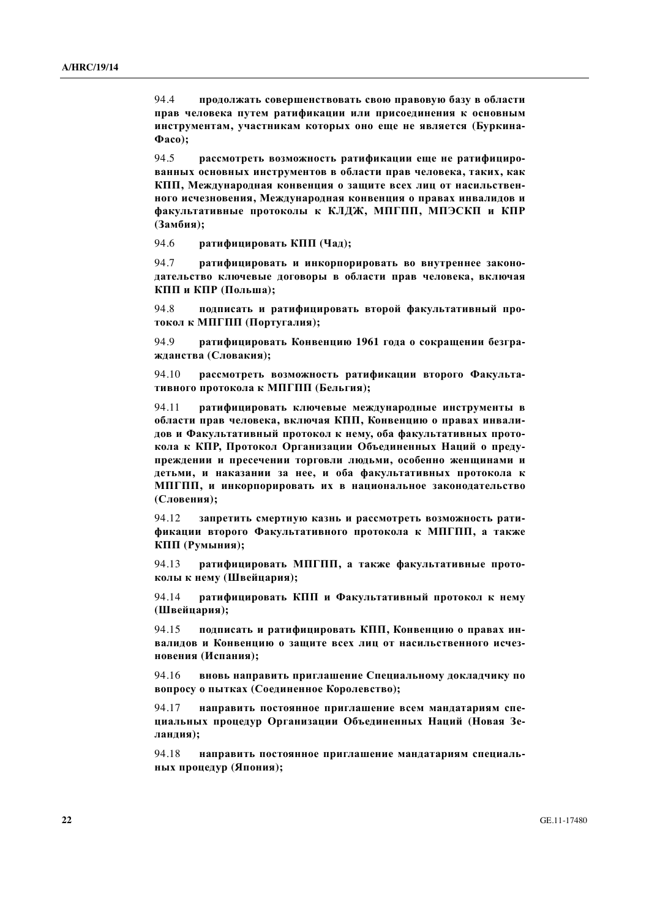94.4 **продолжать совершенствовать свою правовую базу в области** прав человека путем ратификации или присоединения к основным инструментам, участникам которых оно еще не является (Буркина- $\Phi$ aco):

94.5 рассмотреть возможность ратификации еще не ратифициро**ванных основных инструментов в области прав человека, таких, как** КПП, Международная конвенция о защите всех лиц от насильствен-**НОГО ИСЧЕЗНОВЕНИЯ, МЕЖДУНАРОДНАЯ КОНВЕНЦИЯ О ПРАВАХ ИНВАЛИДОВ И**  $\phi$ акультативные протоколы к КЛДЖ, МПГПП, МПЭСКП и КПР (Замбия);

94.6 **ратифицировать КПП (Чад);** 

94.7 **ватифицировать и инкорпорировать во внутреннее законо**дательство ключевые договоры в области прав человека, включая **Ʉɉɉ ɢ ɄɉɊ (ɉɨɥɶɲɚ);**

94.8 **полнисать и ратифицировать второй факультативный про**токол к МПГПП (Португалия);

94.9 **патифицировать Конвенцию 1961 года о сокрашении безгра-ЖЛАНСТВА** (Словакия):

94.10 рассмотреть возможность ратификации второго Факультативного протокола к МПГПП (Бельгия);

94.11 **ВАТИФИЦИРОВАТЬ КЛЮЧЕВЫЕ МЕЖЛУНАРОЛНЫЕ ИНСТРУМЕНТЫ В области прав человека, включая КПП, Конвенцию о правах инвали**дов и Факультативный протокол к нему, оба факультативных протокола к КПР, Протокол Организации Объединенных Наций о предупреждении и пресечении торговли людьми, особенно женщинами и детьми, и наказании за нее, и оба факультативных протокола к МПГПП, и инкорпорировать их в национальное законодательство (Словения):

94.12 **3aпретить смертную казнь и рассмотреть возможность ратификации второго Факультативного протокола к МПГПП, а также Ʉɉɉ (Ɋɭɦɵɧɢɹ);**

94.13 ратифицировать МПГПП, а также факультативные протоколы к нему (Швейцария);

94.14 **ратифицировать КПП и Факультативный протокол к нему (Швейцария);** 

94.15 подписать и ратифицировать КПП, Конвенцию о правах ин**валидов и Конвенцию о защите всех лиц от насильственного исчезновения** (Испания);

94.16 **вновь направить приглашение Специальному докладчику по вопросу о пытках (Соединенное Королевство);** 

94.17 **иаправить постоянное приглашение всем мандатариям спеɰɢɚɥɶɧɵɯ ɩɪɨɰɟɞɭɪ Ɉɪɝɚɧɢɡɚɰɢɢ Ɉɛɴɟɞɢɧɟɧɧɵɯ ɇɚɰɢɣ (ɇɨɜɚɹ Ɂɟландия**);

94.18 **направить постоянное приглашение мандатариям специальɧɵɯ ɩɪɨɰɟɞɭɪ (əɩɨɧɢɹ);**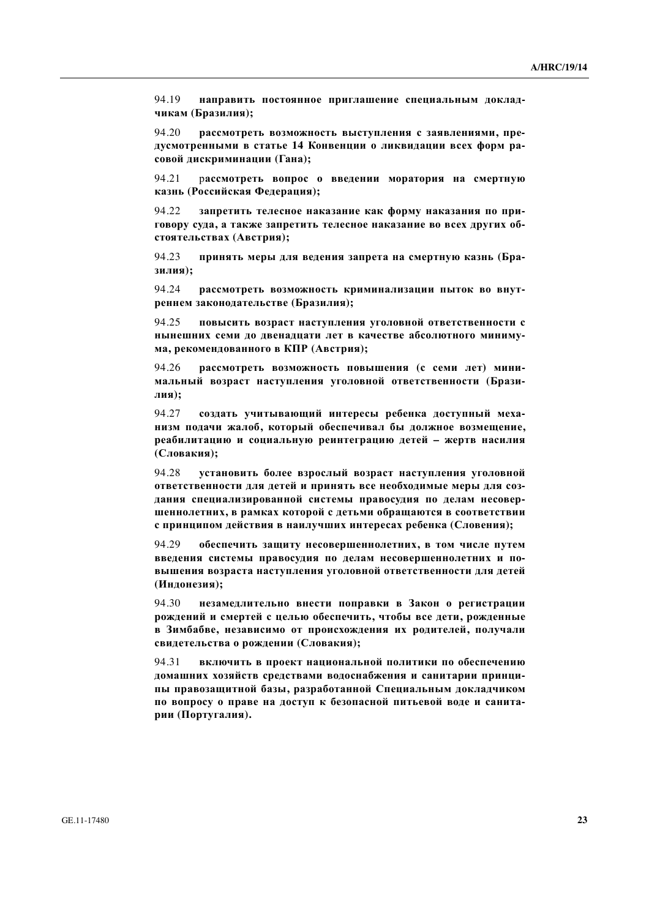94.19 **направить постоянное приглашение специальным доклад**чикам (Бразилия);

94.20 рассмотреть возможность выступления с заявлениями, предусмотренными в статье 14 Конвенции о ликвидации всех форм ра- $\cos\theta$ й дискриминации (Гана);

94.21 рассмотреть вопрос о введении моратория на смертную казнь (Российская Федерация);

94.22 **запретить телесное наказание как форму наказания по при**говору суда, а также запретить телесное наказание во всех других об $c$ тоятельствах (Австрия);

94.23 **принять меры для ведения запрета на смертную казнь (Бра-3илия**);

94.24 **рассмотреть возможность криминализации пыток во внутреннем законодательстве (Бразилия);** 

94.25 повысить возраст наступления уголовной ответственности с нынешних семи до двенадцати лет в качестве абсолютного миниму**ма**, рекомендованного в КПР (Австрия);

94.26 **ВАССМОТВЕТЬ ВОЗМОЖНОСТЬ ПОВЫШЕНИЯ (С СЕМИ ЛЕТ) МИНИмальный возраст наступления уголовной ответственности (Бразиɥɢɹ);**

94.27 **создать учитывающий интересы ребенка доступный меха-НИЗМ ПОДАЧИ ЖАЛОБ, КОТОРЫЙ Обеспечивал бы должное возмещение, иеабилитацию и социальную реинтеграцию детей – жертв насилия** (Словакия);

94.28 **установить более взрослый возраст наступления уголовной ɨɬɜɟɬɫɬɜɟɧɧɨɫɬɢ ɞɥɹ ɞɟɬɟɣ ɢ ɩɪɢɧɹɬɶ ɜɫɟ ɧɟɨɛɯɨɞɢɦɵɟ ɦɟɪɵ ɞɥɹ ɫɨɡ**дания специализированной системы правосудия по делам несовер-**Шеннолетних, в рамках которой с детьми обращаются в соответствии** с принципом действия в наилучших интересах ребенка (Словения);

94.29 **обеспечить зашиту несовершеннолетних, в том числе путем введения системы правосудия по делам несовершеннолетних и по-ВЫШЕНИЯ ВОЗРАСТА НАСТУПЛЕНИЯ УГОЛОВНОЙ ОТВЕТСТВЕННОСТИ ДЛЯ ДЕТЕЙ**  $($ Индонезия);

94.30 незамедлительно внести поправки в Закон о регистрации **рождений и смертей с целью обеспечить, чтобы все дети, рожденные в Зимбабве, независимо от происхождения их родителей, получали** свидетельства о рождении (Словакия);

94.31 **включить в проект национальной политики по обеспечению** домашних хозяйств средствами водоснабжения и санитарии принципы правозащитной базы, разработанной Специальным докладчиком по вопросу о праве на доступ к безопасной питьевой воде и санита- $\mu$ ии (Португалия).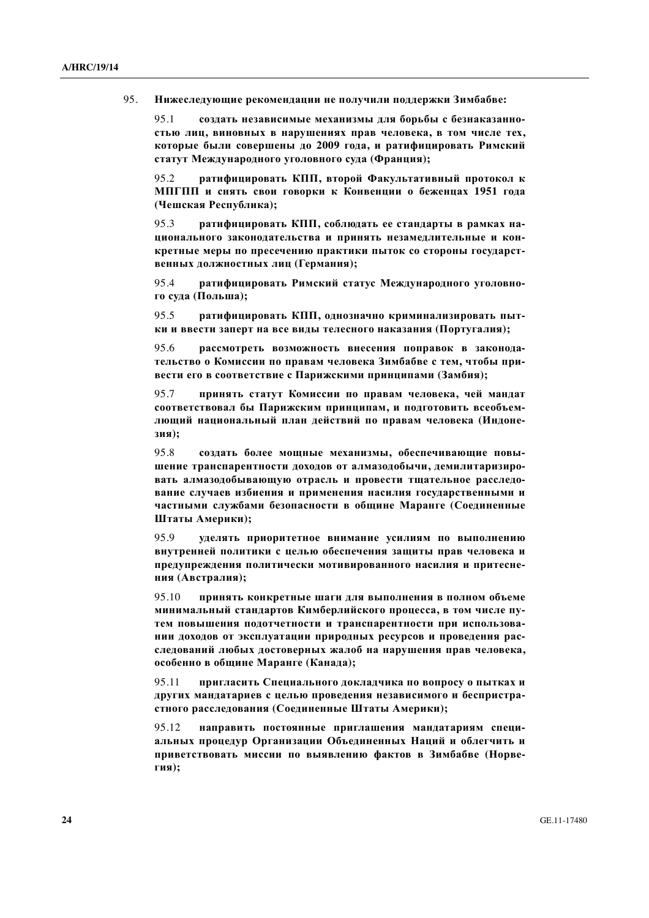95. **Нижеследующие рекомендации не получили поддержки Зимбабве:** 

95.1 **•• созлать независимые механизмы лля борьбы с безнаказанно**стью лиц, виновных в нарушениях прав человека, в том числе тех, **которые были совершены до 2009 года, и ратифицировать Римский** статут Международного уголовного суда (Франция);

95.2 **ватифицировать КПП, второй Факультативный протокол к МПГПП** и снять свои говорки к Конвенции о беженцах 1951 года **(ɑɟɲɫɤɚɹ Ɋɟɫɩɭɛɥɢɤɚ);**

95.3 **ватифицировать КПП, соблюлать ее станларты в рамках на-ЩИОНАЛЬНОГО ЗАКОНОДАТЕЛЬСТВА И ПРИНЯТЬ НЕЗАМЕДЛИТЕЛЬНЫЕ И КОНкретные меры по пресечению практики пыток со стороны государственных должностных лиц (Германия);** 

95.4 **• ратифицировать Римский статус Международного уголовного суда** (Польша);

95.5 **ватифицировать КПП, однозначно криминализировать пыт**ки и ввести заперт на все виды телесного наказания (Португалия);

95.6 **рассмотреть возможность внесения поправок в законода-Тельство о Комиссии по правам человека Зимбабве с тем, чтобы привести его в соответствие с Парижскими принципами (Замбия);** 

95.7 **принять статут Комиссии по правам человека, чей мандат** соответствовал бы Парижским принципам, и подготовить всеобъемлющий национальный план действий по правам человека (Индоне**ɡɢɹ);**

95.8 **ɫɨɡɞɚɬɶ ɛɨɥɟɟ ɦɨɳɧɵɟ ɦɟɯɚɧɢɡɦɵ, ɨɛɟɫɩɟɱɢɜɚɸɳɢɟ ɩɨɜɵ**шение транспарентности доходов от алмазодобычи, демилитаризиро**вать алмазодобывающую отрасль и провести тщательное расследо-ВАНИЕ СЛУЧАЕВ ИЗбИЕНИЯ И ПРИМЕНЕНИЯ НАСИЛИЯ ГОСУДАРСТВЕННЫМИ И** частными службами безопасности в общине Маранге (Соединенные **Штаты Америки**);

95.9 **уделять приоритетное внимание усилиям по выполнению енутренней политики с целью обеспечения защиты прав человека и** предупреждения политически мотивированного насилия и притесне**ния** (Австралия);

95.10 принять конкретные шаги для выполнения в полном объеме **минимальный стандартов Кимберлийского процесса, в том числе пу**тем повышения подотчетности и транспарентности при использова-НИИ ДОХОДОВ ОТ ЭКСПЛУАТАЦИИ ПРИРОДНЫХ РЕСУРСОВ И ПРОВЕДЕНИЯ РАСследований любых достоверных жалоб на нарушения прав человека, **особенно в общине Маранге (Канада);** 

95.11 пригласить Специального докладчика по вопросу о пытках и других мандатариев с целью проведения независимого и беспристрастного расследования (Соединенные Штаты Америки);

95.12 **иаправить постоянные приглашения мандатариям специ**альных процедур Организации Объединенных Наций и облегчить и приветствовать миссии по выявлению фактов в Зимбабве (Норве- $\Gamma$ ия);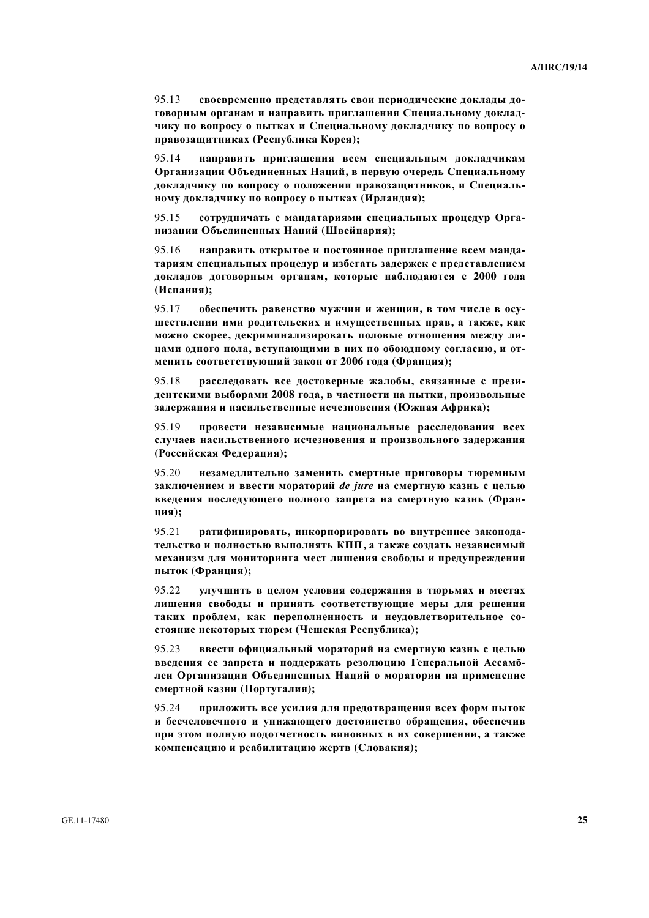95.13 **своевременно представлять свои периодические доклады до**говорным органам и направить приглашения Специальному доклад-ЧИКУ ПО ВОПРОСУ О ПЫТКАХ И СПЕЦИАЛЬНОМУ ДОКЛАДЧИКУ ПО ВОПРОСУ О правозащитниках (Республика Корея);

95.14 **направить приглашения всем специальным докладчикам** Организации Объединенных Наций, в первую очередь Специальному докладчику по вопросу о положении правозащитников, и Специаль-**НОМУ ДОКЛАДЧИКУ ПО ВОПРОСУ О ПЫТКАХ (ИрЛАНДИЯ);** 

95.15 **сотрудничать с мандатариями специальных процедур Оргаɧɢɡɚɰɢɢ Ɉɛɴɟɞɢɧɟɧɧɵɯ ɇɚɰɢɣ (ɒɜɟɣɰɚɪɢɹ);**

95.16 **направить открытое и постоянное приглашение всем манда**тариям специальных процедур и избегать задержек с представлением докладов договорным органам, которые наблюдаются с 2000 года (Испания);

95.17 **ɨɛɟɫɩɟɱɢɬɶ ɪɚɜɟɧɫɬɜɨ ɦɭɠɱɢɧ ɢ ɠɟɧɳɢɧ, ɜ ɬɨɦ ɱɢɫɥɟ ɜ ɨɫɭшествлении ими родительских и имущественных прав, а также, как** можно скорее, декриминализировать половые отношения между ли-**ЩАМИ ОДНОГО ПОЛА, ВСТУПАЮЩИМИ В НИХ ПО ОбОЮДНОМУ СОГЛАСИЮ, И ОТ-** $M$ енить соответствующий закон от 2006 года (Франция);

95.18 расследовать все достоверные жалобы, связанные с прези-Дентскими выборами 2008 года, в частности на пытки, произвольные задержания и насильственные исчезновения (Южная Африка);

95.19 провести независимые национальные расследования всех случаев насильственного исчезновения и произвольного задержания **(Ɋɨɫɫɢɣɫɤɚɹ Ɏɟɞɟɪɚɰɢɹ);**

95.20 незамедлительно заменить смертные приговоры тюремным **З**аключением и ввести мораторий *de jure* на смертную казнь с целью **введения последующего полного запрета на смертную казнь (Франɰɢɹ);**

95.21 ратифицировать, инкорпорировать во внутреннее законода-ТЕЛЬСТВО И ПОЛНОСТЬЮ ВЫПОЛНЯТЬ КПП, а также создать независимый Механизм для мониторинга мест лишения свободы и предупреждения пыток (Франция);

95.22 **y**лучшить в целом условия содержания в тюрьмах и местах лишения свободы и принять соответствующие меры для решения таких проблем, как переполненность и неудовлетворительное со $c$ тояние некоторых тюрем (Чешская Республика);

95.23 ввести официальный мораторий на смертную казнь с целью **введения ее запрета и поддержать резолюцию Генеральной Ассамб**деи Организации Объединенных Наций о моратории на применение  $\alpha$ мертной казни (Португалия);

95.24 приложить все усилия для предотвращения всех форм пыток и бесчеловечного и унижающего достоинство обращения, обеспечив ПРИ ЭТОМ ПОЛНУЮ ПОДОТЧЕТНОСТЬ ВИНОВНЫХ В ИХ СОВЕРШЕНИИ, А ТАКЖЕ компенсацию и реабилитацию жертв (Словакия);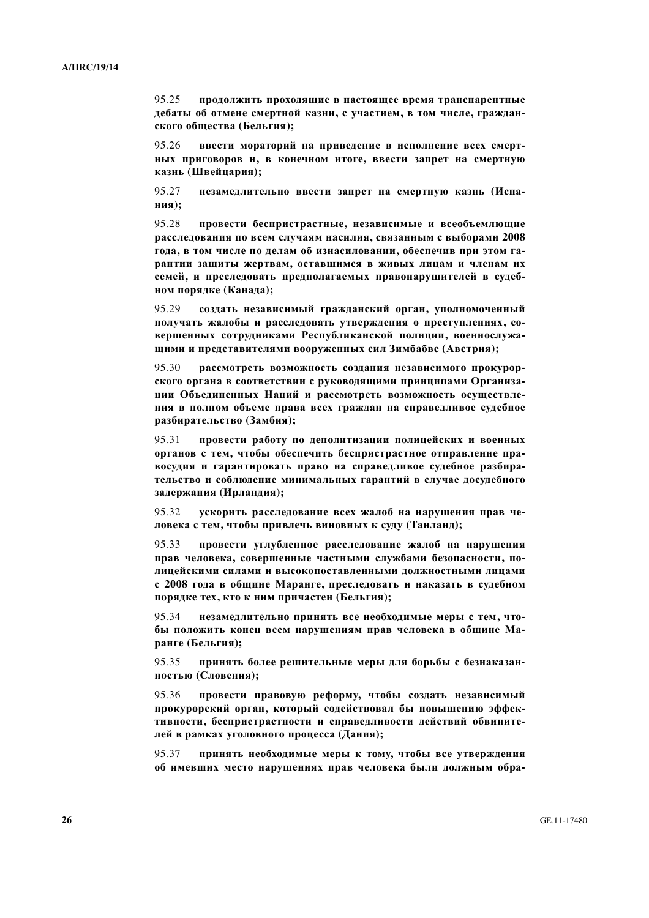95.25 продолжить проходящие в настоящее время транспарентные дебаты об отмене смертной казни, с участием, в том числе, граждан- $\textbf{ckoro}\ \textbf{obuncства}\ (\textbf{Бельгия});$ 

95.26 **ввести мораторий на приведение в исполнение всех смерт-**НЫХ ПРИГОВОРОВ И, В КОНЕЧНОМ ИТОГЕ, ВВЕСТИ ЗАПРЕТ НА СМЕРТНУЮ **ɤɚɡɧɶ (ɒɜɟɣɰɚɪɢɹ);**

95.27 **незамедлительно ввести запрет на смертную казнь (Испаɧɢɹ);**

95.28 **провести беспристрастные, независимые и всеобъемлющие** расследования по всем случаям насилия, связанным с выборами 2008 года, в том числе по делам об изнасиловании, обеспечив при этом га**paнтии защиты жертвам, оставшимся в живых лицам и членам их** семей, и преследовать предполагаемых правонарушителей в судеб**ном порядке (Канада);** 

95.29 **созлать независимый гражланский орган, уполномоченный** получать жалобы и расследовать утверждения о преступлениях, со**вершенных сотрудниками Республиканской полиции, военнослужашими и представителями вооруженных сил Зимбабве (Австрия);** 

95.30 рассмотреть возможность создания независимого прокурорского органа в соответствии с руководящими принципами Организа**ɰɢɢ Ɉɛɴɟɞɢɧɟɧɧɵɯ ɇɚɰɢɣ ɢ ɪɚɫɫɦɨɬɪɟɬɶ ɜɨɡɦɨɠɧɨɫɬɶ ɨɫɭɳɟɫɬɜɥɟ-НИЯ В ПОЛНОМ Объеме права всех граждан на справедливое судебное разбирательство** (Замбия);

95.31 провести работу по деполитизации полицейских и военных **ирганов с тем, чтобы обеспечить беспристрастное отправление правосудия и гарантировать право на справедливое судебное разбира**тельство и соблюдение минимальных гарантий в случае досудебного задержания (Ирландия);

95.32 **ɭɫɤɨɪɢɬɶ ɪɚɫɫɥɟɞɨɜɚɧɢɟ ɜɫɟɯ ɠɚɥɨɛ ɧɚ ɧɚɪɭɲɟɧɢɹ ɩɪɚɜ ɱɟ**ловека с тем, чтобы привлечь виновных к суду (Таиланд);

95.33 ировести углубленное расследование жалоб на нарушения прав человека, совершенные частными службами безопасности, полицейскими силами и высокопоставленными должностными лицами  **года в общине Маранге, преследовать и наказать в судебном** порядке тех, кто к ним причастен (Бельгия);

95.34 **незамедлительно принять все необходимые меры с тем, что**бы положить конец всем нарушениям прав человека в общине Ма**ранге** (Бельгия);

95.35 принять более решительные меры для борьбы с безнаказан $h$ **00СТЬЮ** (Словения);

95.36 провести правовую реформу, чтобы создать независимый прокурорский орган, который содействовал бы повышению эффективности, беспристрастности и справедливости действий обвините- $\overline{AB}$  **ией в рамках уголовного процесса** (Дания);

95.37 принять необходимые меры к тому, чтобы все утверждения  $\bf{66}$  имевших место нарушениях прав человека были должным обра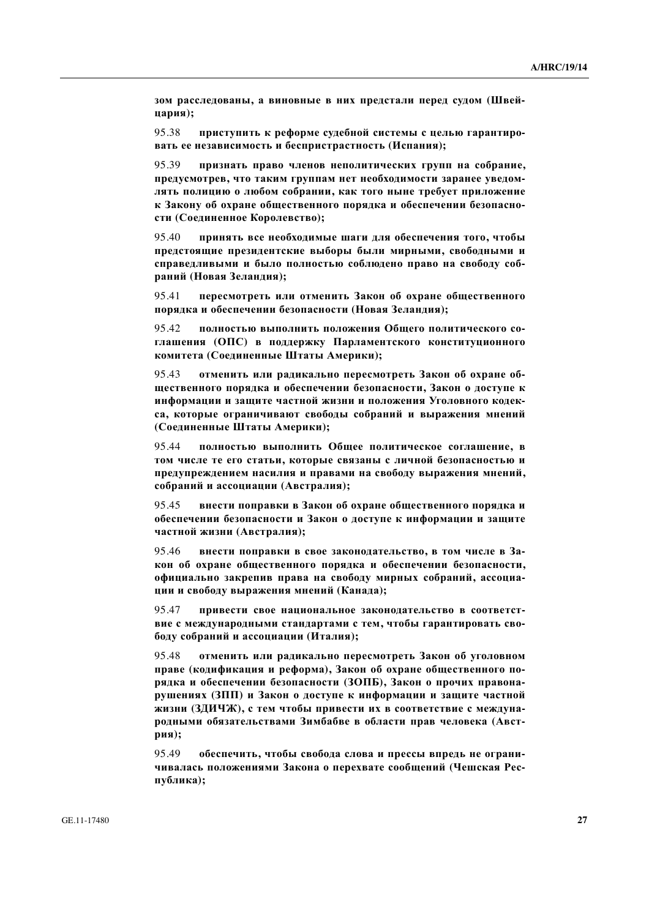зом расследованы, а виновные в них предстали перед судом (Швей**цария**);

95.38 приступить к реформе судебной системы с целью гарантиро**ɜɚɬɶ ɟɟ ɧɟɡɚɜɢɫɢɦɨɫɬɶ ɢ ɛɟɫɩɪɢɫɬɪɚɫɬɧɨɫɬɶ (ɂɫɩɚɧɢɹ);**

95.39 **признать право членов неполитических групп на собрание.** предусмотрев, что таким группам нет необходимости заранее уведомдять полицию о любом собрании, как того ныне требует приложение **к** Закону об охране общественного порядка и обеспечении безопасности (Соединенное Королевство);

95.40 **принять все необходимые шаги для обеспечения того, чтобы** предстоящие президентские выборы были мирными, свободными и справедливыми и было полностью соблюдено право на свободу соб**раний** (Новая Зеландия);

95.41 **пересмотреть или отменить Закон об охране общественного** порядка и обеспечении безопасности (Новая Зеландия);

95.42 **полностью выполнить положения Общего политического со-**Глашения (ОПС) в поддержку Парламентского конституционного комитета (Соединенные Штаты Америки);

95.43 отменить или радикально пересмотреть Закон об охране об**шественного порядка и обеспечении безопасности, Закон о доступе к информации и защите частной жизни и положения Уголовного кодек**са, которые ограничивают свободы собраний и выражения мнений **(Соединенные Штаты Америки);** 

95.44 полностью выполнить Общее политическое соглашение, в том числе те его статьи, которые связаны с личной безопасностью и предупреждением насилия и правами на свободу выражения мнений,  $\mathbf{c} \circ \mathbf{d} \circ \mathbf{d} \mathbf{w}$  **и**  $\mathbf{d} \circ \mathbf{d} \mathbf{v}$  **(Австралия)**;

95.45 внести поправки в Закон об охране общественного порядка и **ифеспечении безопасности и Закон о доступе к информации и защите** частной жизни (Австралия);

95.46 **внести поправки в свое законолательство, в том числе в За**кон об охране общественного порядка и обеспечении безопасности, **официально закрепив права на свободу мирных собраний, ассоциаɰɢɢ ɢ ɫɜɨɛɨɞɭ ɜɵɪɚɠɟɧɢɹ ɦɧɟɧɢɣ (Ʉɚɧɚɞɚ);**

95.47 **привести свое национальное законодательство в соответствие с международными стандартами с тем, чтобы гарантировать сво-** $6$ оду собраний и ассоциации (Италия);

95.48 отменить или радикально пересмотреть Закон об уголовном праве (кодификация и реформа), Закон об охране общественного по**рядка и обеспечении безопасности (ЗОПБ), Закон о прочих правонарушениях** (ЗПП) и Закон о доступе к информации и защите частной ЖИЗНИ (ЗДИЧЖ), с тем чтобы привести их в соответствие с международными обязательствами Зимбабве в области прав человека (Авст**pия**);

95.49 обеспечить, чтобы свобода слова и прессы впредь не ограничивалась положениями Закона о перехвате сообщений (Чешская Республика);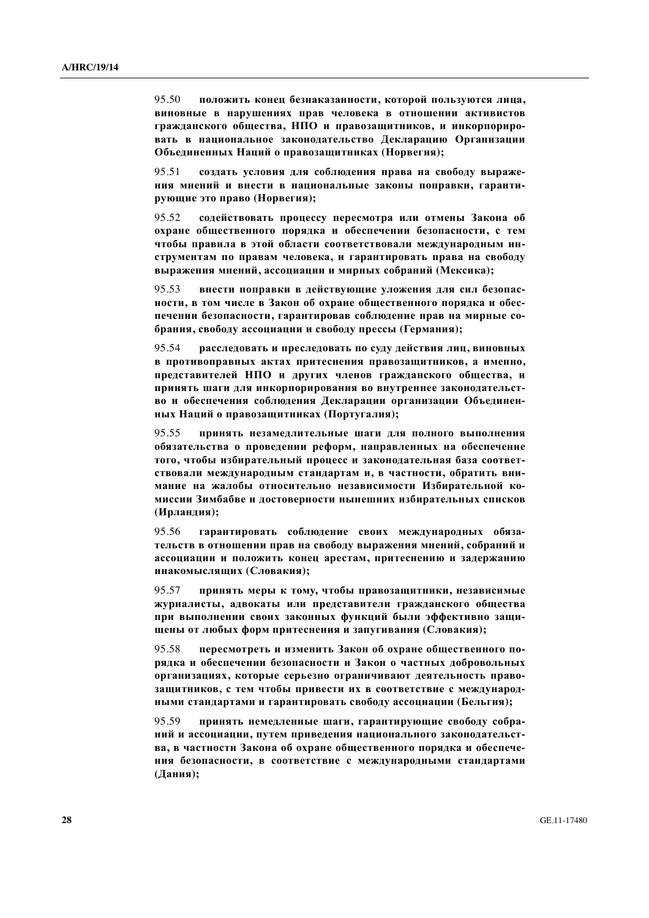95.50 положить конец безнаказанности, которой пользуются лица, **ВИНОВНЫЕ В НАРУШЕНИЯХ ПРАВ ЧЕЛОВЕКА В ОТНОШЕНИИ АКТИВИСТОВ** гражданского общества, НПО и правозащитников, и инкорпориро**вать в национальное законодательство Декларацию Организации** Объединенных Наций о правозащитниках (Норвегия);

95.51 **• создать условия для соблюдения права на свободу выраже-НИЯ МНЕНИЙ И ВНЕСТИ В НАЦИОНАЛЬНЫЕ ЗАКОНЫ ПОПРАВКИ, ГАРАНТИ-** $\bf{p}$ ующие это право (Норвегия);

95.52 **содействовать процессу пересмотра или отмены Закона об изране общественного порядка и обеспечении безопасности, с тем** чтобы правила в этой области соответствовали международным ин $c$ трументам по правам человека, и гарантировать права на свободу **ɜɵɪɚɠɟɧɢɹ ɦɧɟɧɢɣ, ɚɫɫɨɰɢɚɰɢɢ ɢ ɦɢɪɧɵɯ ɫɨɛɪɚɧɢɣ (Ɇɟɤɫɢɤɚ);**

95.53 внести поправки в действующие уложения для сил безопас-**НОСТИ, В ТОМ ЧИСЛЕ В ЗАКОН Об ОХРАНЕ ОбЩЕСТВЕННОГО ПОРЯДКА И Обес**печении безопасности, гарантировав соблюдение прав на мирные со- $\delta$ рания, свободу ассоциации и свободу прессы (Германия);

95.54 расследовать и преследовать по суду действия лиц, виновных **в** противоправных актах притеснения правозащитников, а именно, представителей НПО и других членов гражданского общества, и принять шаги для инкорпорирования во внутреннее законодательст**во и обеспечения соблюдения Декларации организации Объединенных Наций о правозащитниках (Португалия);** 

95.55 принять незамедлительные шаги для полного выполнения **ибязательства о проведении реформ, направленных на обеспечение** того, чтобы избирательный процесс и законодательная база соответ**ствовали международным стандартам и, в частности, обратить вни**мание на жалобы относительно независимости Избирательной комиссии Зимбабве и достоверности нынешних избирательных списков  $($ Ирландия);

95.56 **гарантировать соблюдение своих международных обяза-**Тельств в отношении прав на свободу выражения мнений, собраний и  $\boldsymbol{a}$  ассоциации и положить конец арестам, притеснению и задержанию кинакомыслящих (Словакия);

95.57 принять меры к тому, чтобы правозащитники, независимые ЖУРНАЛИСТЫ, АДВОКАТЫ ИЛИ ПРЕДСТАВИТЕЛИ ГРАЖДАНСКОГО Общества при выполнении своих законных функций были эффективно защи**шены от любых форм притеснения и запугивания (Словакия);** 

95.58 пересмотреть и изменить Закон об охране общественного по**издка и обеспечении безопасности и Закон о частных добровольных ВОГАНИЗАЦИЯХ, КОТОРЫЕ СЕРЬЕЗНО ОГРАНИЧИВАЮТ ДЕЯТЕЛЬНОСТЬ ПРАВО-**ЗАЩИТНИКОВ, С ТЕМ ЧТОбЫ ПРИВЕСТИ ИХ В СООТВЕТСТВИЕ С МЕЖДУНАРОД-**НЫМИ СТАНДАРТАМИ И ГАРАНТИРОВАТЬ СВОбОДУ АССОЦИАЦИИ (Бельгия);** 

95.59 принять немедленные шаги, гарантирующие свободу собра-**НИЙ И АССОЦИАЦИИ, ПУТЕМ ПРИВЕДЕНИЯ НАЦИОНАЛЬНОГО ЗАКОНОДАТЕЛЬСТва, в частности Закона об охране общественного порядка и обеспече-НИЯ безопасности, в соответствие с международными стандартами** (Дания);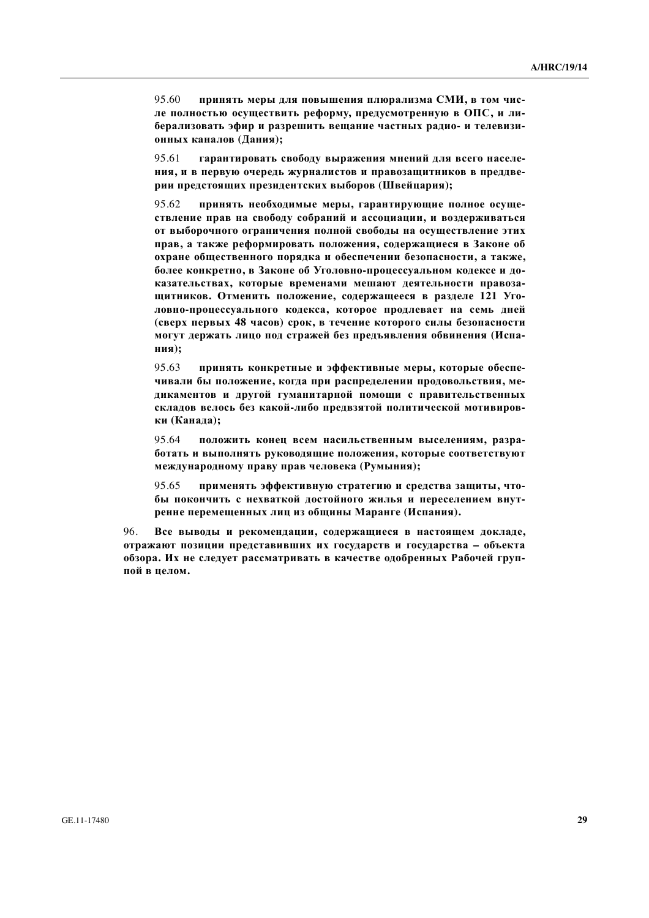95.60 принять меры для повышения плюрализма СМИ, в том чисде полностью осуществить реформу, предусмотренную в ОПС, и ли**берализовать эфир и разрешить вещание частных радио- и телевизионных каналов (Дания);** 

95.61 **гарантировать свободу выражения мнений для всего населения, и в первую очередь журналистов и правозащитников в преддве**рии предстоящих президентских выборов (Швейцария);

95.62 **принять необходимые меры, гарантирующие полное осуще**ствление прав на свободу собраний и ассоциации, и воздерживаться **• ВЫборочного ограничения полной свободы на осуществление этих** прав, а также реформировать положения, содержащиеся в Законе об  $\overline{\textbf{1}}$  **охране общественного порядка и обеспечении безопасности, а также, более конкретно, в Законе об Уголовно-процессуальном кодексе и до**казательствах, которые временами мешают деятельности правоза-**ШИТНИКОВ.** ОТМЕНИТЬ ПОЛОЖЕНИЕ, СОДЕРЖАЩЕЕСЯ В разделе 121 Уголовно-процессуального кодекса, которое продлевает на семь дней **(ɫɜɟɪɯ ɩɟɪɜɵɯ 48 ɱɚɫɨɜ) ɫɪɨɤ, ɜ ɬɟɱɟɧɢɟ ɤɨɬɨɪɨɝɨ ɫɢɥɵ ɛɟɡɨɩɚɫɧɨɫɬɢ** могут держать лицо под стражей без предъявления обвинения (Испа**ɧɢɹ);**

95.63 принять конкретные и эффективные меры, которые обеспечивали бы положение, когда при распределении продовольствия, медикаментов и другой гуманитарной помощи с правительственных складов велось без какой-либо предвзятой политической мотивиров**ɤɢ (Ʉɚɧɚɞɚ);**

95.64 **положить конец всем насильственным выселениям, разработать и выполнять руководящие положения, которые соответствуют**  $M$ еждународному праву прав человека (Румыния);

95.65 применять эффективную стратегию и средства защиты, что**ɛɵ ɩɨɤɨɧɱɢɬɶ ɫ ɧɟɯɜɚɬɤɨɣ ɞɨɫɬɨɣɧɨɝɨ ɠɢɥɶɹ ɢ ɩɟɪɟɫɟɥɟɧɢɟɦ ɜɧɭɬ-** $\mu$ енне перемещенных лиц из общины Маранге (Испания).

96. Все выводы и рекомендации, содержащиеся в настоящем докладе, **итражают позиции представивших их государств и государства – объекта обзора. Их не следует рассматривать в качестве одобренных Рабочей груп**пой в целом.